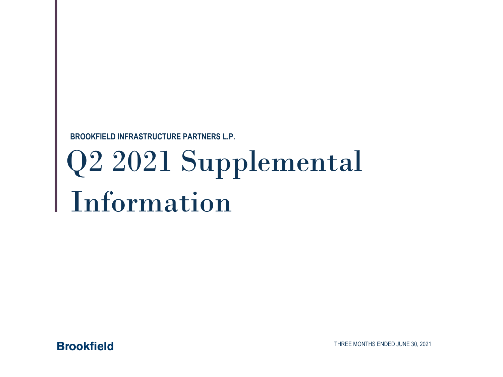**BROOKFIELD INFRASTRUCTURE PARTNERS L.P.**

# Q2 2021 Supplemental Information



THREE MONTHS ENDED JUNE 30, 2021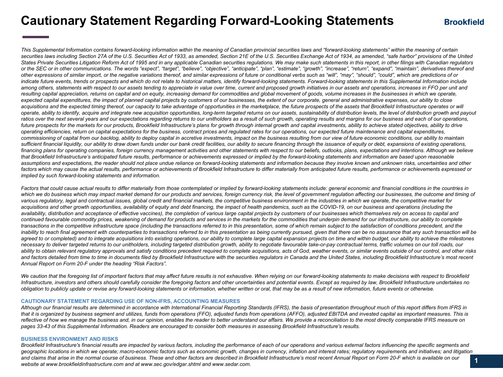## **Cautionary Statement Regarding Forward-Looking Statements**

This Supplemental Information contains forward-looking information within the meaning of Canadian provincial securities laws and "forward-looking statements" within the meaning of certain securities laws including Section 27A of the U.S. Securities Act of 1933, as amended, Section 21E of the U.S. Securities Exchange Act of 1934, as amended, "safe harbor" provisions of the United *States Private Securities Litigation Reform Act of 1995 and in any applicable Canadian securities regulations. We may make such statements in this report, in other filings with Canadian regulators or the SEC or in other communications. The words "expect", "target", "believe", "objective", "anticipate", "plan", "estimate", "growth", "increase", "return", "expand", "maintain", derivatives thereof and other expressions of similar import, or the negative variations thereof, and similar expressions of future or conditional verbs such as "will", "may", "should", "could", which are predictions of or*  indicate future events, trends or prospects and which do not relate to historical matters, identify forward-looking statements. Forward-looking statements in this Supplemental Information include *among others, statements with respect to our assets tending to appreciate in value over time, current and proposed growth initiatives in our assets and operations, increases in FFO per unit and*  resulting capital appreciation, returns on capital and on equity, increasing demand for commodities and global movement of goods, volume increases in the businesses in which we operate, expected capital expenditures, the impact of planned capital projects by customers of our businesses, the extent of our corporate, general and administrative expenses, our ability to close acquisitions and the expected timing thereof, our capacity to take advantage of opportunities in the marketplace, the future prospects of the assets that Brookfield Infrastructure operates or will *operate, ability to identify, acquire and integrate new acquisition opportunities, long-term targeted returns on our assets, sustainability of distribution levels, the level of distribution growth and payout*  ratios over the next several years and our expectations regarding returns to our unitholders as a result of such growth, operating results and margins for our business and each of our operations, future prospects for the markets for our products, Brookfield Infrastructure's plans for growth through internal growth and capital investments, ability to achieve stated objectives, ability to drive *operating efficiencies, return on capital expectations for the business, contract prices and regulated rates for our operations, our expected future maintenance and capital expenditures,*  commissioning of capital from our backlog, ability to deploy capital in accretive investments, impact on the business resulting from our view of future economic conditions, our ability to maintain sufficient financial liquidity, our ability to draw down funds under our bank credit facilities, our ability to secure financing through the issuance of equity or debt, expansions of existing operations, financing plans for operating companies, foreign currency management activities and other statements with respect to our beliefs, outlooks, plans, expectations and intentions. Although we believe that Brookfield Infrastructure's anticipated future results, performance or achievements expressed or implied by the forward-looking statements and information are based upon reasonable assumptions and expectations, the reader should not place undue reliance on forward-looking statements and information because they involve known and unknown risks, uncertainties and other factors which may cause the actual results, performance or achievements of Brookfield Infrastructure to differ materially from anticipated future results, performance or achievements expressed or *implied by such forward-looking statements and information.*

Factors that could cause actual results to differ materially from those contemplated or implied by forward-looking statements include: general economic and financial conditions in the countries in which we do business which may impact market demand for our products and services, foreign currency risk, the level of government regulation affecting our businesses, the outcome and timing of *various regulatory, legal and contractual issues, global credit and financial markets, the competitive business environment in the industries in which we operate, the competitive market for*  acquisitions and other growth opportunities, availability of equity and debt financing, the impact of health pandemics, such as the COVID-19, on our business and operations (including the *availability, distribution and acceptance of effective vaccines), the completion of various large capital projects by customers of our businesses which themselves rely on access to capital and*  continued favourable commodity prices, weakening of demand for products and services in the markets for the commodities that underpin demand for our infrastructure, our ability to complete *transactions in the competitive infrastructure space (including the transactions referred to in this presentation, some of which remain subject to the satisfaction of conditions precedent, and the*  inability to reach final agreement with counterparties to transactions referred to in this presentation as being currently pursued, given that there can be no assurance that any such transaction will be agreed to or completed) and to integrate acquisitions into existing operations, our ability to complete large capital expansion projects on time and within budget, our ability to achieve the milestones *necessary to deliver targeted returns to our unitholders, including targeted distribution growth, ability to negotiate favourable take-or-pay contractual terms, traffic volumes on our toll roads, our*  ability to obtain relevant regulatory approvals and satisfy conditions precedent required to complete acquisitions, acts of God, weather events, or similar events outside of our control, and other risks and factors detailed from time to time in documents filed by Brookfield Infrastructure with the securities regulators in Canada and the United States, including Brookfield Infrastructure's most recent *Annual Report on Form 20-F under the heading "Risk Factors".*

We caution that the foregoing list of important factors that may affect future results is not exhaustive. When relying on our forward-looking statements to make decisions with respect to Brookfield *Infrastructure, investors and others should carefully consider the foregoing factors and other uncertainties and potential events. Except as required by law, Brookfield Infrastructure undertakes no obligation to publicly update or revise any forward-looking statements or information, whether written or oral, that may be as a result of new information, future events or otherwise.*

#### **CAUTIONARY STATEMENT REGARDING USE OF NON-IFRS, ACCOUNTING MEASURES**

*Although our financial results are determined in accordance with International Financial Reporting Standards (IFRS), the basis of presentation throughout much of this report differs from IFRS in that it is organized by business segment and utilizes, funds from operations (FFO), adjusted funds from operations (AFFO), adjusted EBITDA and invested capital as important measures. This is*  reflective of how we manage the business and, in our opinion, enables the reader to better understand our affairs. We provide a reconciliation to the most directly comparable IFRS measure on *pages 33-43 of this Supplemental Information. Readers are encouraged to consider both measures in assessing Brookfield Infrastructure's results.*

#### **BUSINESS ENVIRONMENT AND RISKS**

Brookfield Infrastructure's financial results are impacted by various factors, including the performance of each of our operations and various external factors influencing the specific segments and *geographic locations in which we operate; macro-economic factors such as economic growth, changes in currency, inflation and interest rates; regulatory requirements and initiatives; and litigation*  and claims that arise in the normal course of business. These and other factors are described in Brookfield Infrastructure's most recent Annual Report on Form 20-F which is available on our *website at www.brookfieldinfrastructure.com and at www.sec.gov/edgar.shtml and www.sedar.com.*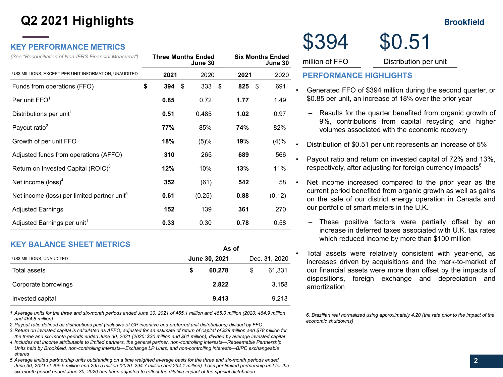## **Q2 2021 Highlights**

### **KEY PERFORMANCE METRICS**

| (See "Reconciliation of Non-IFRS Financial Measures")   | <b>Six Months Ended</b><br><b>Three Months Ended</b><br>June 30<br>June 30 |      |      |        |  |      |      |        |  |  |  |
|---------------------------------------------------------|----------------------------------------------------------------------------|------|------|--------|--|------|------|--------|--|--|--|
| US\$ MILLIONS, EXCEPT PER UNIT INFORMATION, UNAUDITED   |                                                                            | 2021 |      | 2020   |  | 2021 |      | 2020   |  |  |  |
| Funds from operations (FFO)                             | \$                                                                         | 394  | - \$ | 333S   |  | 825  | - \$ | 691    |  |  |  |
| Per unit FFO <sup>1</sup>                               |                                                                            | 0.85 |      | 0.72   |  | 1.77 |      | 1.49   |  |  |  |
| Distributions per unit <sup>1</sup>                     |                                                                            | 0.51 |      | 0.485  |  | 1.02 |      | 0.97   |  |  |  |
| Payout ratio <sup>2</sup>                               |                                                                            | 77%  |      | 85%    |  | 74%  |      | 82%    |  |  |  |
| Growth of per unit FFO                                  |                                                                            | 18%  |      | (5)%   |  | 19%  |      | (4)%   |  |  |  |
| Adjusted funds from operations (AFFO)                   |                                                                            | 310  |      | 265    |  | 689  |      | 566    |  |  |  |
| Return on Invested Capital (ROIC) <sup>3</sup>          |                                                                            | 12%  |      | 10%    |  | 13%  |      | 11%    |  |  |  |
| Net income $(\text{loss})^4$                            |                                                                            | 352  |      | (61)   |  | 542  |      | 58     |  |  |  |
| Net income (loss) per limited partner unit <sup>5</sup> |                                                                            | 0.61 |      | (0.25) |  | 0.88 |      | (0.12) |  |  |  |
| <b>Adjusted Earnings</b>                                |                                                                            | 152  |      | 139    |  | 361  |      | 270    |  |  |  |
| Adjusted Earnings per unit <sup>1</sup>                 |                                                                            | 0.33 |      | 0.30   |  | 0.78 |      | 0.58   |  |  |  |

### **KEY BALANCE SHEET METRICS**

|                          | AS VI         |        |               |        |  |  |  |  |  |  |
|--------------------------|---------------|--------|---------------|--------|--|--|--|--|--|--|
| US\$ MILLIONS, UNAUDITED | June 30, 2021 |        | Dec. 31, 2020 |        |  |  |  |  |  |  |
| Total assets             | S             | 60.278 | S             | 61,331 |  |  |  |  |  |  |
| Corporate borrowings     |               | 2.822  |               | 3.158  |  |  |  |  |  |  |
| Invested capital         |               | 9.413  |               | 9,213  |  |  |  |  |  |  |

**As of**

*1.Average units for the three and six-month periods ended June 30, 2021 of 465.1 million and 465.0 million (2020: 464.9 million and 464.8 million)*

*2.Payout ratio defined as distributions paid (inclusive of GP incentive and preferred unit distributions) divided by FFO*

*3.Return on invested capital is calculated as AFFO, adjusted for an estimate of return of capital of \$39 million and \$78 million for the three and six-month periods ended June 30, 2021 (2020: \$30 million and \$61 million), divided by average invested capital*

- *4.Includes net income attributable to limited partners, the general partner, non-controlling interests—Redeemable Partnership Units held by Brookfield, non-controlling interests—Exchange LP Units, and non-controlling interests—BIPC exchangeable shares*
- *5.Average limited partnership units outstanding on a time weighted average basis for the three and six-month periods ended June 30, 2021 of 295.5 million and 295.5 million (2020: 294.7 million and 294.1 million). Loss per limited partnership unit for the six-month period ended June 30, 2020 has been adjusted to reflect the dilutive impact of the special distribution*

|                      |           |                         |         | \$394                         | \$0.51                                                       |  |
|----------------------|-----------|-------------------------|---------|-------------------------------|--------------------------------------------------------------|--|
| Three Months Ended   | June 30   | <b>Six Months Ended</b> | June 30 | million of FFO                | Distribution per unit                                        |  |
| 2021                 | 2020      | 2021                    | 2020    | <b>PERFORMANCE HIGHLIGHTS</b> |                                                              |  |
| $394$ \$             | $333S$ \$ | $825 \t$$               | 691     | ٠                             | Generated FFO of \$394 million during the second quarter, or |  |
| 0.85<br>0.72<br>1.77 |           |                         | 1.49    |                               | \$0.85 per unit, an increase of 18% over the prior year      |  |

- Results for the quarter benefited from organic growth of 9%, contributions from capital recycling and higher volumes associated with the economic recovery
- Distribution of \$0.51 per unit represents an increase of 5%
- Payout ratio and return on invested capital of 72% and 13%, respectively, after adjusting for foreign currency impacts<sup>6</sup>
- Net income increased compared to the prior year as the current period benefited from organic growth as well as gains on the sale of our district energy operation in Canada and our portfolio of smart meters in the U.K.
	- These positive factors were partially offset by an increase in deferred taxes associated with U.K. tax rates which reduced income by more than \$100 million
- Total assets were relatively consistent with year-end, as increases driven by acquisitions and the mark-to-market of our financial assets were more than offset by the impacts of dispositions, foreign exchange and depreciation and amortization

*6. Brazilian real normalized using approximately 4.20 (the rate prior to the impact of the economic shutdowns)*

### **Brookfield**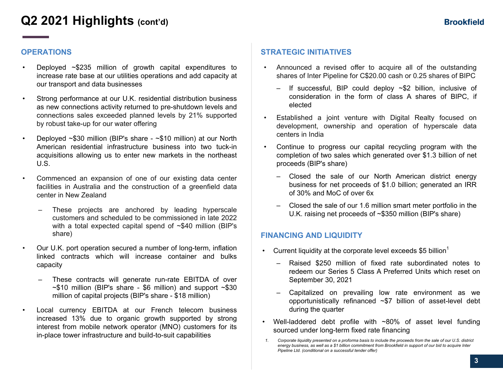## **Q2 2021 Highlights (cont'd)**

### **OPERATIONS**

- Deployed  $\sim$ \$235 million of growth capital expenditures to increase rate base at our utilities operations and add capacity at our transport and data businesses
- Strong performance at our U.K. residential distribution business as new connections activity returned to pre-shutdown levels and connections sales exceeded planned levels by 21% supported by robust take-up for our water offering
- Deployed ~\$30 million (BIP's share ~\$10 million) at our North American residential infrastructure business into two tuck-in acquisitions allowing us to enter new markets in the northeast U.S.
- Commenced an expansion of one of our existing data center facilities in Australia and the construction of a greenfield data center in New Zealand
	- These projects are anchored by leading hyperscale customers and scheduled to be commissioned in late 2022 with a total expected capital spend of  $\sim $40$  million (BIP's share)
- Our U.K. port operation secured a number of long-term, inflation linked contracts which will increase container and bulks capacity
	- These contracts will generate run-rate EBITDA of over  $\sim$ \$10 million (BIP's share - \$6 million) and support  $\sim$ \$30 million of capital projects (BIP's share - \$18 million)
- Local currency EBITDA at our French telecom business increased 13% due to organic growth supported by strong interest from mobile network operator (MNO) customers for its in-place tower infrastructure and build-to-suit capabilities

### **STRATEGIC INITIATIVES**

- Announced a revised offer to acquire all of the outstanding shares of Inter Pipeline for C\$20.00 cash or 0.25 shares of BIPC
	- $-$  If successful, BIP could deploy  $\sim$ \$2 billion, inclusive of consideration in the form of class A shares of BIPC, if elected
- Established a joint venture with Digital Realty focused on development, ownership and operation of hyperscale data centers in India
- Continue to progress our capital recycling program with the completion of two sales which generated over \$1.3 billion of net proceeds (BIP's share)
	- Closed the sale of our North American district energy business for net proceeds of \$1.0 billion; generated an IRR of 30% and MoC of over 6x
	- Closed the sale of our 1.6 million smart meter portfolio in the U.K. raising net proceeds of ~\$350 million (BIP's share)

### **FINANCING AND LIQUIDITY**

- Current liquidity at the corporate level exceeds \$5 billion<sup>1</sup>
	- Raised \$250 million of fixed rate subordinated notes to redeem our Series 5 Class A Preferred Units which reset on September 30, 2021
	- Capitalized on prevailing low rate environment as we opportunistically refinanced ~\$7 billion of asset-level debt during the quarter
- Well-laddered debt profile with  $~80\%$  of asset level funding sourced under long-term fixed rate financing

*<sup>1.</sup> Corporate liquidity presented on a proforma basis to include the proceeds from the sale of our U.S. district energy business, as well as a \$1 billion commitment from Brookfield in support of our bid to acquire Inter Pipeline Ltd. (conditional on a successful tender offer)*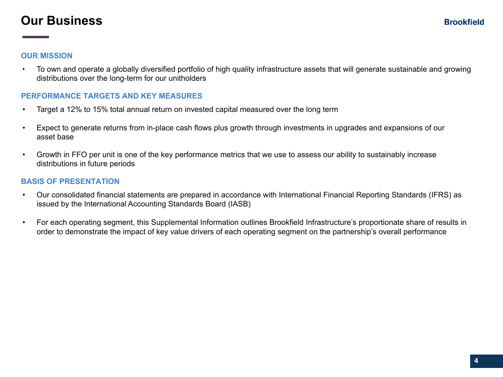## **Our Business**

### **OUR MISSION**

• To own and operate a globally diversified portfolio of high quality infrastructure assets that will generate sustainable and growing distributions over the long-term for our unitholders

### **PERFORMANCE TARGETS AND KEY MEASURES**

- Target a 12% to 15% total annual return on invested capital measured over the long term
- Expect to generate returns from in-place cash flows plus growth through investments in upgrades and expansions of our asset base
- Growth in FFO per unit is one of the key performance metrics that we use to assess our ability to sustainably increase distributions in future periods

### **BASIS OF PRESENTATION**

- Our consolidated financial statements are prepared in accordance with International Financial Reporting Standards (IFRS) as issued by the International Accounting Standards Board (IASB)
- For each operating segment, this Supplemental Information outlines Brookfield Infrastructure's proportionate share of results in order to demonstrate the impact of key value drivers of each operating segment on the partnership's overall performance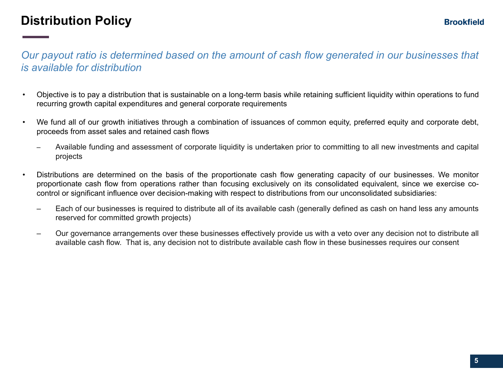## **Distribution Policy**

## *Our payout ratio is determined based on the amount of cash flow generated in our businesses that is available for distribution*

- Objective is to pay a distribution that is sustainable on a long-term basis while retaining sufficient liquidity within operations to fund recurring growth capital expenditures and general corporate requirements
- We fund all of our growth initiatives through a combination of issuances of common equity, preferred equity and corporate debt, proceeds from asset sales and retained cash flows
	- Available funding and assessment of corporate liquidity is undertaken prior to committing to all new investments and capital projects
- Distributions are determined on the basis of the proportionate cash flow generating capacity of our businesses. We monitor proportionate cash flow from operations rather than focusing exclusively on its consolidated equivalent, since we exercise cocontrol or significant influence over decision-making with respect to distributions from our unconsolidated subsidiaries:
	- Each of our businesses is required to distribute all of its available cash (generally defined as cash on hand less any amounts reserved for committed growth projects)
	- Our governance arrangements over these businesses effectively provide us with a veto over any decision not to distribute all available cash flow. That is, any decision not to distribute available cash flow in these businesses requires our consent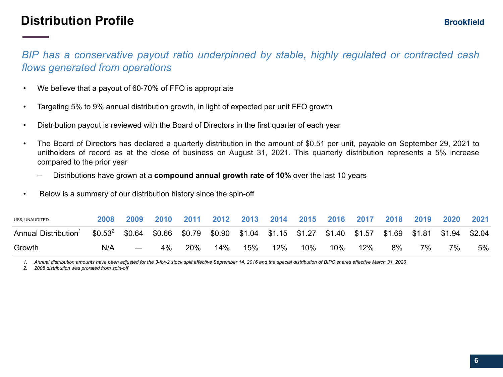## **Distribution Profile**

*BIP has a conservative payout ratio underpinned by stable, highly regulated or contracted cash flows generated from operations*

- We believe that a payout of 60-70% of FFO is appropriate
- Targeting 5% to 9% annual distribution growth, in light of expected per unit FFO growth
- Distribution payout is reviewed with the Board of Directors in the first quarter of each year
- The Board of Directors has declared a quarterly distribution in the amount of \$0.51 per unit, payable on September 29, 2021 to unitholders of record as at the close of business on August 31, 2021. This quarterly distribution represents a 5% increase compared to the prior year
	- Distributions have grown at a **compound annual growth rate of 10%** over the last 10 years
- Below is a summary of our distribution history since the spin-off

| US\$, UNAUDITED                  |                                                                                                     | 2009 | 2010 | 2011 | 2012 | 2013 |     |     | 2014 2015 2016 2017 |     | 2018 | 2019 | 2020 | 2021 |
|----------------------------------|-----------------------------------------------------------------------------------------------------|------|------|------|------|------|-----|-----|---------------------|-----|------|------|------|------|
| Annual Distribution <sup>1</sup> | $$0.532$ \$0.64 \$0.66 \$0.79 \$0.90 \$1.04 \$1.15 \$1.27 \$1.40 \$1.57 \$1.69 \$1.81 \$1.94 \$2.04 |      |      |      |      |      |     |     |                     |     |      |      |      |      |
| Growth                           | N/A                                                                                                 |      |      | 20%  | 14%  | 15%  | 12% | 10% | 10%                 | 12% | 8%   | 7%   | 7%   | 5%   |

*1. Annual distribution amounts have been adjusted for the 3-for-2 stock split effective September 14, 2016 and the special distribution of BIPC shares effective March 31, 2020*

*2. 2008 distribution was prorated from spin-off*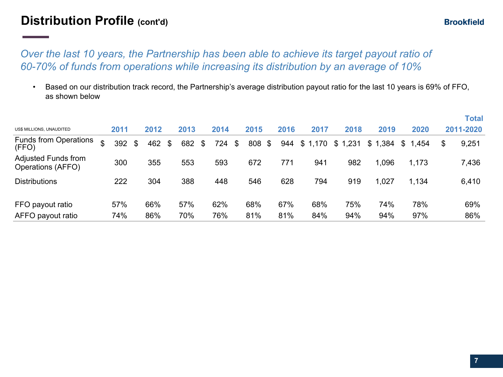## **Distribution Profile (cont'd)**

## *Over the last 10 years, the Partnership has been able to achieve its target payout ratio of 60-70% of funds from operations while increasing its distribution by an average of 10%*

*•* Based on our distribution track record, the Partnership's average distribution payout ratio for the last 10 years is 69% of FFO, as shown below

|                                          |   |      |     |      |     |      |           |              |      |             |         |         |         | <b>Total</b> |
|------------------------------------------|---|------|-----|------|-----|------|-----------|--------------|------|-------------|---------|---------|---------|--------------|
| US\$ MILLIONS, UNAUDITED                 |   | 2011 |     | 2012 |     | 2013 | 2014      | 2015         | 2016 | 2017        | 2018    | 2019    | 2020    | 2011-2020    |
| <b>Funds from Operations</b><br>(FFO)    | ¢ | 392  | \$. | 462  | -\$ | 682  | \$<br>724 | \$<br>808 \$ |      | 944 \$1,170 | \$1,231 | \$1,384 | \$1,454 | \$<br>9,251  |
| Adjusted Funds from<br>Operations (AFFO) |   | 300  |     | 355  |     | 553  | 593       | 672          | 771  | 941         | 982     | 1,096   | 1,173   | 7,436        |
| <b>Distributions</b>                     |   | 222  |     | 304  |     | 388  | 448       | 546          | 628  | 794         | 919     | 1,027   | 1,134   | 6,410        |
| FFO payout ratio                         |   | 57%  |     | 66%  |     | 57%  | 62%       | 68%          | 67%  | 68%         | 75%     | 74%     | 78%     | 69%          |
| AFFO payout ratio                        |   | 74%  |     | 86%  |     | 70%  | 76%       | 81%          | 81%  | 84%         | 94%     | 94%     | 97%     | 86%          |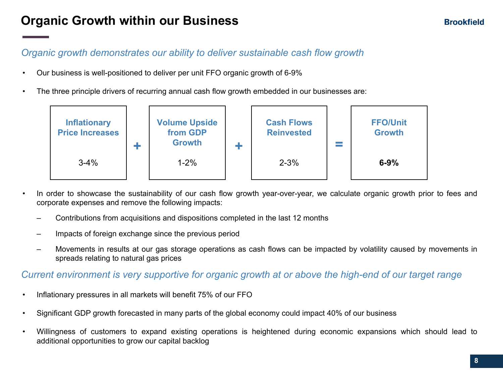## **Organic Growth within our Business**

### **Brookfield**

## *Organic growth demonstrates our ability to deliver sustainable cash flow growth*

- Our business is well-positioned to deliver per unit FFO organic growth of 6-9%
- The three principle drivers of recurring annual cash flow growth embedded in our businesses are:



- In order to showcase the sustainability of our cash flow growth year-over-year, we calculate organic growth prior to fees and corporate expenses and remove the following impacts:
	- Contributions from acquisitions and dispositions completed in the last 12 months
	- Impacts of foreign exchange since the previous period
	- Movements in results at our gas storage operations as cash flows can be impacted by volatility caused by movements in spreads relating to natural gas prices

### *Current environment is very supportive for organic growth at or above the high-end of our target range*

- Inflationary pressures in all markets will benefit 75% of our FFO
- Significant GDP growth forecasted in many parts of the global economy could impact 40% of our business
- Willingness of customers to expand existing operations is heightened during economic expansions which should lead to additional opportunities to grow our capital backlog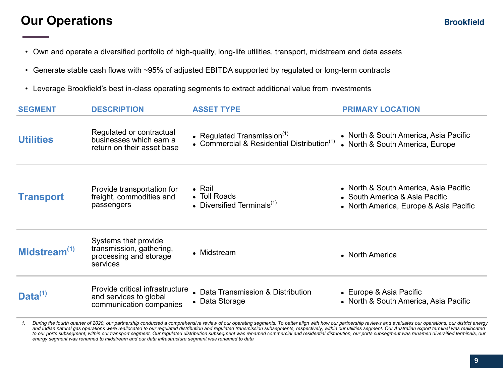## **Our Operations**

- Own and operate a diversified portfolio of high-quality, long-life utilities, transport, midstream and data assets
- Generate stable cash flows with ~95% of adjusted EBITDA supported by regulated or long-term contracts
- Leverage Brookfield's best in-class operating segments to extract additional value from investments

| <b>SEGMENT</b>   | <b>DESCRIPTION</b>                                                                     | <b>ASSET TYPE</b>                                                               | <b>PRIMARY LOCATION</b>                                                                                           |
|------------------|----------------------------------------------------------------------------------------|---------------------------------------------------------------------------------|-------------------------------------------------------------------------------------------------------------------|
| <b>Utilities</b> | Regulated or contractual<br>businesses which earn a<br>return on their asset base      | • Regulated Transmission $(1)$<br>• Commercial & Residential Distribution $(1)$ | • North & South America, Asia Pacific<br>• North & South America, Europe                                          |
| <b>Transport</b> | Provide transportation for<br>freight, commodities and<br>passengers                   | $\bullet$ Rail<br>• Toll Roads<br>• Diversified Terminals $(1)$                 | • North & South America, Asia Pacific<br>• South America & Asia Pacific<br>• North America, Europe & Asia Pacific |
| Midstream $(1)$  | Systems that provide<br>transmission, gathering,<br>processing and storage<br>services | • Midstream                                                                     | • North America                                                                                                   |
| Data $^{(1)}$    | Provide critical infrastructure<br>and services to global<br>communication companies   | • Data Transmission & Distribution<br>• Data Storage                            | • Europe & Asia Pacific<br>• North & South America, Asia Pacific                                                  |

1. During the fourth quarter of 2020, our partnership conducted a comprehensive review of our operating segments. To better align with how our partnership reviews and evaluates our operations, our district energy and Indian natural gas operations were reallocated to our regulated distribution and regulated transmission subsegments, respectively, within our utilities segment. Our Australian export terminal was reallocated *to our ports subsegment, within our transport segment. Our regulated distribution subsegment was renamed commercial and residential distribution, our ports subsegment was renamed diversified terminals, our energy segment was renamed to midstream and our data infrastructure segment was renamed to data*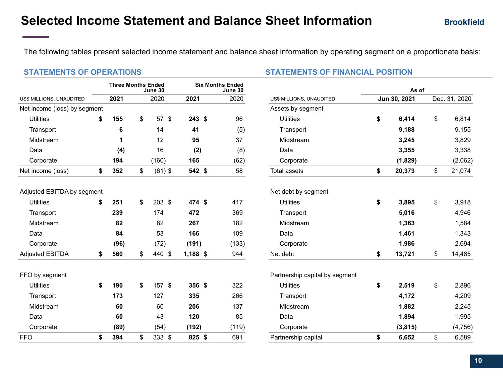The following tables present selected income statement and balance sheet information by operating segment on a proportionate basis:

|                              |    | <b>Three Months Ended</b> | June 30         | <b>Six Months Ended</b><br>June 30 |  |       |                                | As of |              |    |               |  |  |  |
|------------------------------|----|---------------------------|-----------------|------------------------------------|--|-------|--------------------------------|-------|--------------|----|---------------|--|--|--|
| US\$ MILLIONS, UNAUDITED     |    | 2021                      | 2020            | 2021                               |  | 2020  | US\$ MILLIONS, UNAUDITED       |       | Jun 30, 2021 |    | Dec. 31, 2020 |  |  |  |
| Net income (loss) by segment |    |                           |                 |                                    |  |       | Assets by segment              |       |              |    |               |  |  |  |
| <b>Utilities</b>             | \$ | 155                       | \$<br>$57$ \$   | $243$ \$                           |  | 96    | <b>Utilities</b>               | \$    | 6,414        | \$ | 6,814         |  |  |  |
| Transport                    |    | 6                         | 14              | 41                                 |  | (5)   | Transport                      |       | 9,188        |    | 9,155         |  |  |  |
| Midstream                    |    | 1                         | 12              | 95                                 |  | 37    | Midstream                      |       | 3,245        |    | 3,829         |  |  |  |
| Data                         |    | (4)                       | 16              | (2)                                |  | (8)   | Data                           |       | 3,355        |    | 3,338         |  |  |  |
| Corporate                    |    | 194                       | (160)           | 165                                |  | (62)  | Corporate                      |       | (1,829)      |    | (2,062)       |  |  |  |
| Net income (loss)            | \$ | 352                       | \$<br>$(61)$ \$ | 542 \$                             |  | 58    | <b>Total assets</b>            | \$    | 20,373       | \$ | 21,074        |  |  |  |
| Adjusted EBITDA by segment   |    |                           |                 |                                    |  |       | Net debt by segment            |       |              |    |               |  |  |  |
| <b>Utilities</b>             | \$ | 251                       | \$<br>$203$ \$  | 474 \$                             |  | 417   | <b>Utilities</b>               | \$    | 3,895        | \$ | 3,918         |  |  |  |
| Transport                    |    | 239                       | 174             | 472                                |  | 369   | Transport                      |       | 5,016        |    | 4,946         |  |  |  |
| Midstream                    |    | 82                        | 82              | 267                                |  | 182   | Midstream                      |       | 1,363        |    | 1,584         |  |  |  |
| Data                         |    | 84                        | 53              | 166                                |  | 109   | Data                           |       | 1,461        |    | 1,343         |  |  |  |
| Corporate                    |    | (96)                      | (72)            | (191)                              |  | (133) | Corporate                      |       | 1,986        |    | 2,694         |  |  |  |
| <b>Adjusted EBITDA</b>       | \$ | 560                       | \$<br>440 \$    | 1,188 \$                           |  | 944   | Net debt                       | \$    | 13,721       | \$ | 14,485        |  |  |  |
| FFO by segment               |    |                           |                 |                                    |  |       | Partnership capital by segment |       |              |    |               |  |  |  |
| <b>Utilities</b>             | \$ | 190                       | \$<br>$157$ \$  | $356*$                             |  | 322   | <b>Utilities</b>               | \$    | 2,519        | \$ | 2,896         |  |  |  |
| Transport                    |    | 173                       | 127             | 335                                |  | 266   | Transport                      |       | 4,172        |    | 4,209         |  |  |  |
| Midstream                    |    | 60                        | 60              | 206                                |  | 137   | Midstream                      |       | 1,882        |    | 2,245         |  |  |  |
| Data                         |    | 60                        | 43              | 120                                |  | 85    | Data                           |       | 1,894        |    | 1,995         |  |  |  |
| Corporate                    |    | (89)                      | (54)            | (192)                              |  | (119) | Corporate                      |       | (3, 815)     |    | (4, 756)      |  |  |  |
| <b>FFO</b>                   | \$ | 394                       | \$<br>333S      | 825 \$                             |  | 691   | Partnership capital            | \$    | 6,652        | \$ | 6,589         |  |  |  |

### **STATEMENTS OF OPERATIONS STATEMENTS OF FINANCIAL POSITION**

| s Ended<br>June 30 |                                | As of |              |    |               |  |  |  |  |  |  |
|--------------------|--------------------------------|-------|--------------|----|---------------|--|--|--|--|--|--|
| 2020               | US\$ MILLIONS, UNAUDITED       |       | Jun 30, 2021 |    | Dec. 31, 2020 |  |  |  |  |  |  |
|                    | Assets by segment              |       |              |    |               |  |  |  |  |  |  |
| 96                 | <b>Utilities</b>               | \$    | 6,414        | \$ | 6,814         |  |  |  |  |  |  |
| (5)                | Transport                      |       | 9,188        |    | 9,155         |  |  |  |  |  |  |
| 37                 | Midstream                      |       | 3,245        |    | 3,829         |  |  |  |  |  |  |
| (8)                | Data                           |       | 3,355        |    | 3,338         |  |  |  |  |  |  |
| (62)               | Corporate                      |       | (1,829)      |    | (2,062)       |  |  |  |  |  |  |
| 58                 | <b>Total assets</b>            | \$    | 20,373       | \$ | 21,074        |  |  |  |  |  |  |
|                    | Net debt by segment            |       |              |    |               |  |  |  |  |  |  |
| 417                | <b>Utilities</b>               | \$    | 3,895        | \$ | 3,918         |  |  |  |  |  |  |
| 369                | Transport                      |       | 5,016        |    | 4,946         |  |  |  |  |  |  |
| 182                | Midstream                      |       | 1,363        |    | 1,584         |  |  |  |  |  |  |
| 109                | Data                           |       | 1,461        |    | 1,343         |  |  |  |  |  |  |
| (133)              | Corporate                      |       | 1,986        |    | 2,694         |  |  |  |  |  |  |
| 944                | Net debt                       | \$    | 13,721       | \$ | 14,485        |  |  |  |  |  |  |
|                    | Partnership capital by segment |       |              |    |               |  |  |  |  |  |  |
| 322                | <b>Utilities</b>               | \$    | 2,519        | \$ | 2,896         |  |  |  |  |  |  |
| 266                | Transport                      |       | 4,172        |    | 4,209         |  |  |  |  |  |  |
| 137                | Midstream                      |       | 1,882        |    | 2,245         |  |  |  |  |  |  |
| 85                 | Data                           |       | 1,894        |    | 1,995         |  |  |  |  |  |  |
| (119)              | Corporate                      |       | (3, 815)     |    | (4, 756)      |  |  |  |  |  |  |
| 691                | Partnership capital            | \$    | 6,652        | \$ | 6,589         |  |  |  |  |  |  |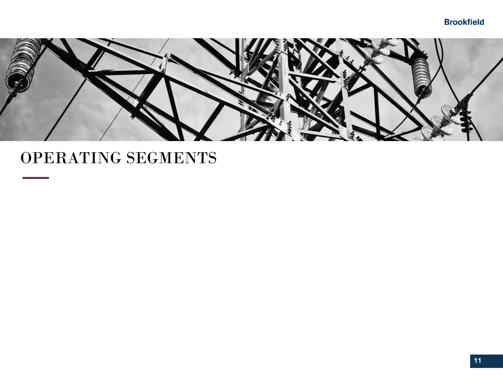### **Brookfield**



## OPERATING SEGMENTS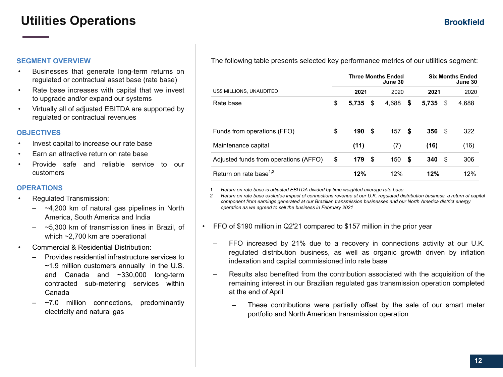## **Utilities Operations**

#### **SEGMENT OVERVIEW**

- Businesses that generate long-term returns on regulated or contractual asset base (rate base)
- Rate base increases with capital that we invest to upgrade and/or expand our systems
- Virtually all of adjusted EBITDA are supported by regulated or contractual revenues

#### **OBJECTIVES**

- Invest capital to increase our rate base
- Earn an attractive return on rate base
- Provide safe and reliable service to our customers

#### **OPERATIONS**

- Regulated Transmission:
	- $-4,200$  km of natural gas pipelines in North America, South America and India
	- $-$  ~5,300 km of transmission lines in Brazil, of which ~2,700 km are operational
- Commercial & Residential Distribution:
	- Provides residential infrastructure services to ~1.9 million customers annually in the U.S. and Canada and ~330,000 long-term contracted sub-metering services within Canada
	- $-7.0$  million connections, predominantly electricity and natural gas

The following table presents selected key performance metrics of our utilities segment:

|                                       |             |     | <b>Three Months Ended</b><br>June 30 | <b>Six Months Ended</b><br>June 30 |       |      |       |  |  |
|---------------------------------------|-------------|-----|--------------------------------------|------------------------------------|-------|------|-------|--|--|
| US\$ MILLIONS, UNAUDITED              | 2021        |     | 2020                                 |                                    | 2021  |      | 2020  |  |  |
| Rate base                             | \$<br>5.735 | S   | 4,688                                | \$                                 | 5,735 | \$   | 4,688 |  |  |
| Funds from operations (FFO)           | \$<br>190   | -\$ | 157                                  | S                                  | 356   | - \$ | 322   |  |  |
| Maintenance capital                   | (11)        |     | (7)                                  |                                    | (16)  |      | (16)  |  |  |
| Adjusted funds from operations (AFFO) | \$<br>179   | \$  | 150                                  | S                                  | 340   | \$   | 306   |  |  |
| Return on rate base <sup>1,2</sup>    | 12%         |     | 12%                                  |                                    | 12%   |      | 12%   |  |  |

*1. Return on rate base is adjusted EBITDA divided by time weighted average rate base*

*2. Return on rate base excludes impact of connections revenue at our U.K. regulated distribution business, a return of capital component from earnings generated at our Brazilian transmission businesses and our North America district energy operation as we agreed to sell the business in February 2021*

- FFO of \$190 million in Q2'21 compared to \$157 million in the prior year
	- FFO increased by 21% due to a recovery in connections activity at our U.K. regulated distribution business, as well as organic growth driven by inflation indexation and capital commissioned into rate base
	- Results also benefited from the contribution associated with the acquisition of the remaining interest in our Brazilian regulated gas transmission operation completed at the end of April
		- These contributions were partially offset by the sale of our smart meter portfolio and North American transmission operation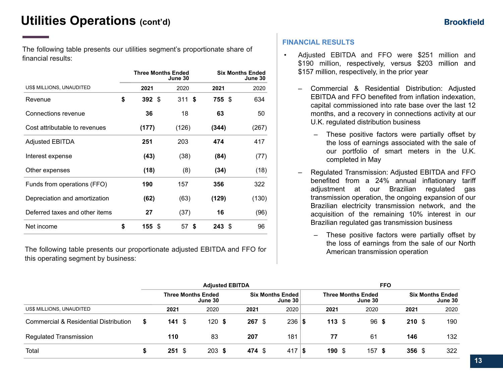The following table presents our utilities segment's proportionate share of financial results:

|                                | <b>Three Months Ended</b> | June 30  | <b>Six Months Ended</b><br>June 30 |       |  |  |  |  |
|--------------------------------|---------------------------|----------|------------------------------------|-------|--|--|--|--|
| US\$ MILLIONS, UNAUDITED       | 2021                      | 2020     | 2021                               | 2020  |  |  |  |  |
| Revenue                        | \$<br>392S                | 311S     | 755 \$                             | 634   |  |  |  |  |
| Connections revenue            | 36                        | 18       | 63                                 | 50    |  |  |  |  |
| Cost attributable to revenues  | (177)                     | (126)    | (344)                              | (267) |  |  |  |  |
| <b>Adjusted EBITDA</b>         | 251                       | 203      | 474                                | 417   |  |  |  |  |
| Interest expense               | (43)                      | (38)     | (84)                               | (77)  |  |  |  |  |
| Other expenses                 | (18)                      | (8)      | (34)                               | (18)  |  |  |  |  |
| Funds from operations (FFO)    | 190                       | 157      | 356                                | 322   |  |  |  |  |
| Depreciation and amortization  | (62)                      | (63)     | (129)                              | (130) |  |  |  |  |
| Deferred taxes and other items | 27                        | (37)     | 16                                 | (96)  |  |  |  |  |
| Net income                     | \$<br>155S                | \$<br>57 | 243S                               | 96    |  |  |  |  |

The following table presents our proportionate adjusted EBITDA and FFO for this operating segment by business:

#### **FINANCIAL RESULTS**

- Adjusted EBITDA and FFO were \$251 million and \$190 million, respectively, versus \$203 million and \$157 million, respectively, in the prior year
	- Commercial & Residential Distribution: Adjusted EBITDA and FFO benefited from inflation indexation, capital commissioned into rate base over the last 12 months, and a recovery in connections activity at our U.K. regulated distribution business
		- These positive factors were partially offset by the loss of earnings associated with the sale of our portfolio of smart meters in the U.K. completed in May
	- Regulated Transmission: Adjusted EBITDA and FFO benefited from a 24% annual inflationary tariff adjustment at our Brazilian regulated gas transmission operation, the ongoing expansion of our Brazilian electricity transmission network, and the acquisition of the remaining 10% interest in our Brazilian regulated gas transmission business
		- These positive factors were partially offset by the loss of earnings from the sale of our North American transmission operation

|                                                  | <b>Adjusted EBITDA</b> |      |                                      |  |        |  |                                           | <b>FFO</b> |      |  |                                      |  |                  |                                    |
|--------------------------------------------------|------------------------|------|--------------------------------------|--|--------|--|-------------------------------------------|------------|------|--|--------------------------------------|--|------------------|------------------------------------|
|                                                  |                        |      | <b>Three Months Ended</b><br>June 30 |  |        |  | <b>Six Months Ended</b><br><b>June 30</b> |            |      |  | <b>Three Months Ended</b><br>June 30 |  |                  | <b>Six Months Ended</b><br>June 30 |
| US\$ MILLIONS, UNAUDITED                         | 2021                   |      | 2020                                 |  | 2021   |  | 2020                                      |            | 2021 |  | 2020                                 |  | 2021             | 2020                               |
| <b>Commercial &amp; Residential Distribution</b> | \$<br>141 $$$          |      | 120S                                 |  | 267S   |  | $236 $ \$                                 |            | 113S |  | 96 <sup>5</sup>                      |  | 210S             | 190                                |
| <b>Regulated Transmission</b>                    | 110                    |      | 83                                   |  | 207    |  | 181                                       |            | 77   |  | 61                                   |  | 146              | 132                                |
| Total                                            | 251                    | - \$ | $203 \text{ }$ \$                    |  | 474 \$ |  | 417S                                      |            | 190S |  | 157S                                 |  | 356 <sup>°</sup> | 322                                |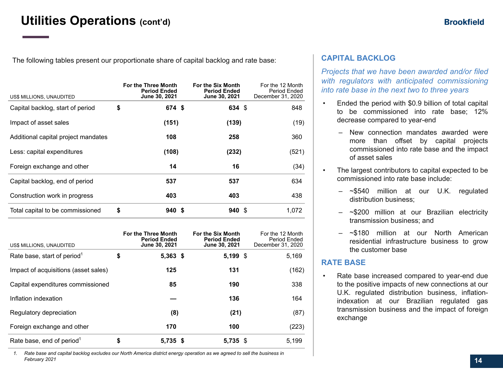The following tables present our proportionate share of capital backlog and rate base:

| US\$ MILLIONS, UNAUDITED            | For the Three Month<br><b>Period Ended</b><br>June 30, 2021 | For the Six Month<br><b>Period Ended</b><br><b>June 30, 2021</b> | For the 12 Month<br>Period Ended<br>December 31, 2020 |
|-------------------------------------|-------------------------------------------------------------|------------------------------------------------------------------|-------------------------------------------------------|
| Capital backlog, start of period    | \$<br>674 \$                                                | 634 \$                                                           | 848                                                   |
| Impact of asset sales               | (151)                                                       | (139)                                                            | (19)                                                  |
| Additional capital project mandates | 108                                                         | 258                                                              | 360                                                   |
| Less: capital expenditures          | (108)                                                       | (232)                                                            | (521)                                                 |
| Foreign exchange and other          | 14                                                          | 16                                                               | (34)                                                  |
| Capital backlog, end of period      | 537                                                         | 537                                                              | 634                                                   |
| Construction work in progress       | 403                                                         | 403                                                              | 438                                                   |
| Total capital to be commissioned    | \$<br>940 S                                                 | 940S                                                             | 1.072                                                 |

| US\$ MILLIONS, UNAUDITED                | For the Three Month<br><b>Period Ended</b><br>June 30, 2021 | For the Six Month<br><b>Period Ended</b><br>June 30, 2021 | For the 12 Month<br>Period Ended<br>December 31, 2020 |
|-----------------------------------------|-------------------------------------------------------------|-----------------------------------------------------------|-------------------------------------------------------|
| Rate base, start of period <sup>1</sup> | \$<br>$5,363$ \$                                            | $5,199$ \$                                                | 5,169                                                 |
| Impact of acquisitions (asset sales)    | 125                                                         | 131                                                       | (162)                                                 |
| Capital expenditures commissioned       | 85                                                          | 190                                                       | 338                                                   |
| Inflation indexation                    |                                                             | 136                                                       | 164                                                   |
| Regulatory depreciation                 | (8)                                                         | (21)                                                      | (87)                                                  |
| Foreign exchange and other              | 170                                                         | 100                                                       | (223)                                                 |
| Rate base, end of period <sup>1</sup>   | \$<br>5,735 \$                                              | 5,735 \$                                                  | 5.199                                                 |

*1. Rate base and capital backlog excludes our North America district energy operation as we agreed to sell the business in February 2021*

### **CAPITAL BACKLOG**

*Projects that we have been awarded and/or filed with regulators with anticipated commissioning into rate base in the next two to three years* 

- Ended the period with \$0.9 billion of total capital to be commissioned into rate base; 12% decrease compared to year-end
	- New connection mandates awarded were more than offset by capital projects commissioned into rate base and the impact of asset sales
	- The largest contributors to capital expected to be commissioned into rate base include:
		- ~\$540 million at our U.K. regulated distribution business;
		- ~\$200 million at our Brazilian electricity transmission business; and
		- ~\$180 million at our North American residential infrastructure business to grow the customer base

### **RATE BASE**

• Rate base increased compared to year-end due to the positive impacts of new connections at our U.K. regulated distribution business, inflationindexation at our Brazilian regulated gas transmission business and the impact of foreign exchange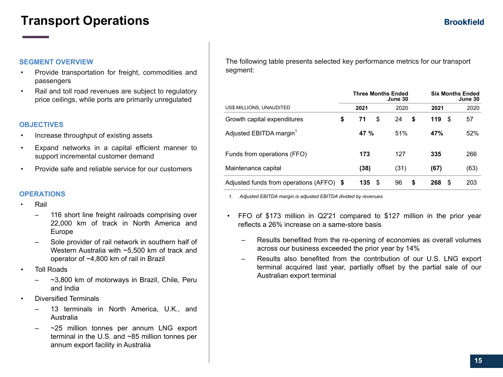## **Transport Operations**

#### **SEGMENT OVERVIEW**

- Provide transportation for freight, commodities and passengers
- Rail and toll road revenues are subject to regulatory price ceilings, while ports are primarily unregulated

#### **OBJECTIVES**

- Increase throughput of existing assets
- Expand networks in a capital efficient manner to support incremental customer demand
- Provide safe and reliable service for our customers

#### **OPERATIONS**

- Rail
	- 116 short line freight railroads comprising over 22,000 km of track in North America and Europe
	- Sole provider of rail network in southern half of Western Australia with ~5,500 km of track and operator of ~4,800 km of rail in Brazil
- **Toll Roads** 
	- ~3,800 km of motorways in Brazil, Chile, Peru and India
- Diversified Terminals
	- 13 terminals in North America, U.K., and Australia
	- $\sim$ 25 million tonnes per annum LNG export terminal in the U.S. and ~85 million tonnes per annum export facility in Australia

The following table presents selected key performance metrics for our transport segment:

|                                          | <b>Three Months Ended</b><br>June 30 | <b>Six Months Ended</b><br>June 30 |          |      |  |
|------------------------------------------|--------------------------------------|------------------------------------|----------|------|--|
| US\$ MILLIONS, UNAUDITED                 | 2021                                 | 2020                               | 2021     | 2020 |  |
| Growth capital expenditures              | \$<br>\$<br>71                       | 24<br>\$                           | 119<br>S | 57   |  |
| Adjusted EBITDA margin <sup>1</sup>      | 47 %                                 | 51%                                | 47%      | 52%  |  |
| Funds from operations (FFO)              | 173                                  | 127                                | 335      | 266  |  |
| Maintenance capital                      | (38)                                 | (31)                               | (67)     | (63) |  |
| Adjusted funds from operations (AFFO) \$ | 135<br>\$                            | 96<br>S                            | 268<br>S | 203  |  |

*1. Adjusted EBITDA margin is adjusted EBITDA divided by revenues*

- FFO of \$173 million in Q2'21 compared to \$127 million in the prior year reflects a 26% increase on a same-store basis
	- Results benefited from the re-opening of economies as overall volumes across our business exceeded the prior year by 14%
	- Results also benefited from the contribution of our U.S. LNG export terminal acquired last year, partially offset by the partial sale of our Australian export terminal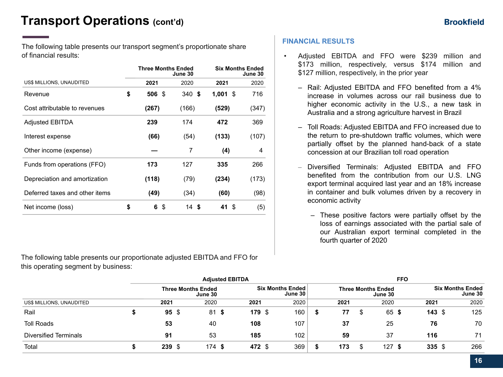## **Transport Operations (cont'd)**

The following table presents our transport segment's proportionate share of financial results:

|                                | <b>Three Months Ended</b> | June 30 | <b>Six Months Ended</b><br>June 30 |       |  |  |
|--------------------------------|---------------------------|---------|------------------------------------|-------|--|--|
| US\$ MILLIONS, UNAUDITED       | 2021                      | 2020    | 2021                               | 2020  |  |  |
| Revenue                        | \$<br>506<br>- \$         | 340S    | 1,001<br>\$                        | 716   |  |  |
| Cost attributable to revenues  | (267)                     | (166)   | (529)                              | (347) |  |  |
| <b>Adjusted EBITDA</b>         | 239                       | 174     | 472                                | 369   |  |  |
| Interest expense               | (66)                      | (54)    | (133)                              | (107) |  |  |
| Other income (expense)         |                           | 7       | (4)                                | 4     |  |  |
| Funds from operations (FFO)    | 173                       | 127     | 335                                | 266   |  |  |
| Depreciation and amortization  | (118)                     | (79)    | (234)                              | (173) |  |  |
| Deferred taxes and other items | (49)                      | (34)    | (60)                               | (98)  |  |  |
| Net income (loss)              | \$<br>6<br>\$             | 14 \$   | 41 \$                              | (5)   |  |  |

The following table presents our proportionate adjusted EBITDA and FFO for this operating segment by business:

### **FINANCIAL RESULTS**

- Adjusted EBITDA and FFO were \$239 million and \$173 million, respectively, versus \$174 million and \$127 million, respectively, in the prior year
	- Rail: Adjusted EBITDA and FFO benefited from a 4% increase in volumes across our rail business due to higher economic activity in the U.S., a new task in Australia and a strong agriculture harvest in Brazil
	- Toll Roads: Adjusted EBITDA and FFO increased due to the return to pre-shutdown traffic volumes, which were partially offset by the planned hand-back of a state concession at our Brazilian toll road operation
	- Diversified Terminals: Adjusted EBITDA and FFO benefited from the contribution from our U.S. LNG export terminal acquired last year and an 18% increase in container and bulk volumes driven by a recovery in economic activity
		- These positive factors were partially offset by the loss of earnings associated with the partial sale of our Australian export terminal completed in the fourth quarter of 2020

|                              |                           | <b>Adjusted EBITDA</b> |        | <b>FFO</b>                           |  |           |                                      |                   |                                    |  |
|------------------------------|---------------------------|------------------------|--------|--------------------------------------|--|-----------|--------------------------------------|-------------------|------------------------------------|--|
|                              | <b>Three Months Ended</b> | June 30                |        | <b>Six Months Ended</b><br>June $30$ |  |           | <b>Three Months Ended</b><br>June 30 |                   | <b>Six Months Ended</b><br>June 30 |  |
| US\$ MILLIONS, UNAUDITED     | 2021                      | 2020                   | 2021   | 2020                                 |  | 2021      | 2020                                 | 2021              | 2020                               |  |
| Rail                         | $95 \text{ }$ \$          | 81<br>-S               | 179 \$ | 160                                  |  | 77<br>\$. | 65 \$                                | $143 \text{ } $s$ | 125                                |  |
| <b>Toll Roads</b>            | 53                        | 40                     | 108    | 107                                  |  | 37        | 25                                   | 76                | 70                                 |  |
| <b>Diversified Terminals</b> | 91                        | 53                     | 185    | 102                                  |  | 59        | 37                                   | 116               | 71                                 |  |
| Total                        | 239S                      | 174<br>-S              | 472 \$ | 369                                  |  | 173       | 127S                                 | $335$ \$          | 266                                |  |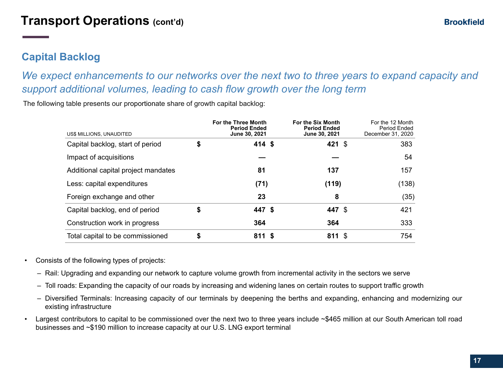## **Brookfield**

## **Capital Backlog**

*We expect enhancements to our networks over the next two to three years to expand capacity and support additional volumes, leading to cash flow growth over the long term* 

The following table presents our proportionate share of growth capital backlog:

| US\$ MILLIONS, UNAUDITED            | For the Three Month<br><b>Period Ended</b><br>June 30, 2021 | For the Six Month<br><b>Period Ended</b><br>June 30, 2021 | For the 12 Month<br>Period Ended<br>December 31, 2020 |
|-------------------------------------|-------------------------------------------------------------|-----------------------------------------------------------|-------------------------------------------------------|
| Capital backlog, start of period    | \$<br>$414$ \$                                              | 421 $$$                                                   | 383                                                   |
| Impact of acquisitions              |                                                             |                                                           | 54                                                    |
| Additional capital project mandates | 81                                                          | 137                                                       | 157                                                   |
| Less: capital expenditures          | (71)                                                        | (119)                                                     | (138)                                                 |
| Foreign exchange and other          | 23                                                          | 8                                                         | (35)                                                  |
| Capital backlog, end of period      | \$<br>447 \$                                                | 447 \$                                                    | 421                                                   |
| Construction work in progress       | 364                                                         | 364                                                       | 333                                                   |
| Total capital to be commissioned    | \$<br>811S                                                  | 811 S                                                     | 754                                                   |

- Consists of the following types of projects:
	- Rail: Upgrading and expanding our network to capture volume growth from incremental activity in the sectors we serve
	- Toll roads: Expanding the capacity of our roads by increasing and widening lanes on certain routes to support traffic growth
	- Diversified Terminals: Increasing capacity of our terminals by deepening the berths and expanding, enhancing and modernizing our existing infrastructure
- Largest contributors to capital to be commissioned over the next two to three years include ~\$465 million at our South American toll road businesses and ~\$190 million to increase capacity at our U.S. LNG export terminal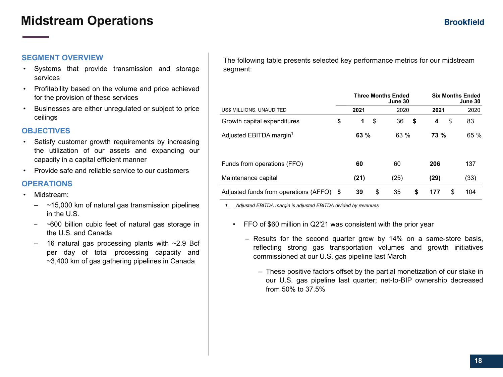## **Midstream Operations**

### **SEGMENT OVERVIEW**

- Systems that provide transmission and storage services
- Profitability based on the volume and price achieved for the provision of these services
- Businesses are either unregulated or subject to price ceilings

### **OBJECTIVES**

- Satisfy customer growth requirements by increasing the utilization of our assets and expanding our capacity in a capital efficient manner
- Provide safe and reliable service to our customers

### **OPERATIONS**

- Midstream:
	- $-$  ~15,000 km of natural gas transmission pipelines in the U.S.
	- ~600 billion cubic feet of natural gas storage in the U.S. and Canada
	- $-$  16 natural gas processing plants with  $\sim$ 2.9 Bcf per day of total processing capacity and ~3,400 km of gas gathering pipelines in Canada

The following table presents selected key performance metrics for our midstream segment:

|                                          | <b>Three Months Ended</b> | <b>Six Months Ended</b><br>June 30 |           |    |      |  |  |
|------------------------------------------|---------------------------|------------------------------------|-----------|----|------|--|--|
| US\$ MILLIONS, UNAUDITED                 | 2021                      | 2020                               | 2021      |    | 2020 |  |  |
| Growth capital expenditures              | \$<br>\$<br>1             | 36                                 | \$<br>4   | \$ | 83   |  |  |
| Adjusted EBITDA margin <sup>1</sup>      | 63 %                      | 63 %                               | 73 %      |    | 65 % |  |  |
| Funds from operations (FFO)              | 60                        | 60                                 | 206       |    | 137  |  |  |
| Maintenance capital                      | (21)                      | (25)                               | (29)      |    | (33) |  |  |
| Adjusted funds from operations (AFFO) \$ | 39                        | \$<br>35                           | \$<br>177 | \$ | 104  |  |  |

*1. Adjusted EBITDA margin is adjusted EBITDA divided by revenues*

- FFO of \$60 million in Q2'21 was consistent with the prior year
	- Results for the second quarter grew by 14% on a same-store basis, reflecting strong gas transportation volumes and growth initiatives commissioned at our U.S. gas pipeline last March
		- These positive factors offset by the partial monetization of our stake in our U.S. gas pipeline last quarter; net-to-BIP ownership decreased from 50% to 37.5%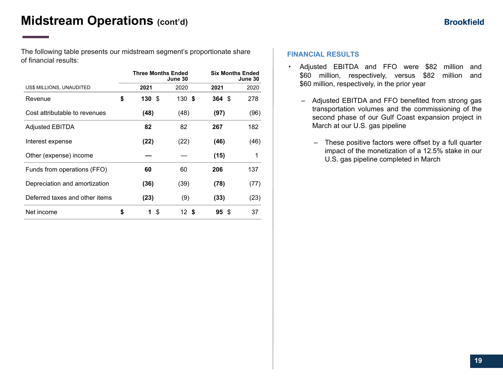The following table presents our midstream segment's proportionate share of financial results:

|                                | <b>Three Months Ended</b> | June 30 | <b>Six Months Ended</b><br>June 30 |      |  |  |  |
|--------------------------------|---------------------------|---------|------------------------------------|------|--|--|--|
| US\$ MILLIONS, UNAUDITED       | 2021                      | 2020    | 2021                               | 2020 |  |  |  |
| Revenue                        | \$<br>130 \$              | 130S    | $364 \text{ } $s$                  | 278  |  |  |  |
| Cost attributable to revenues  | (48)                      | (48)    | (97)                               | (96) |  |  |  |
| <b>Adjusted EBITDA</b>         | 82                        | 82      | 267                                | 182  |  |  |  |
| Interest expense               | (22)                      | (22)    | (46)                               | (46) |  |  |  |
| Other (expense) income         |                           |         | (15)                               | 1    |  |  |  |
| Funds from operations (FFO)    | 60                        | 60      | 206                                | 137  |  |  |  |
| Depreciation and amortization  | (36)                      | (39)    | (78)                               | (77) |  |  |  |
| Deferred taxes and other items | (23)                      | (9)     | (33)                               | (23) |  |  |  |
| Net income                     | \$<br>S<br>1              | 12 S    | 95 S                               | 37   |  |  |  |

### **FINANCIAL RESULTS**

- Adjusted EBITDA and FFO were \$82 million and \$60 million, respectively, versus \$82 million and \$60 million, respectively, in the prior year
	- Adjusted EBITDA and FFO benefited from strong gas transportation volumes and the commissioning of the second phase of our Gulf Coast expansion project in March at our U.S. gas pipeline
		- These positive factors were offset by a full quarter impact of the monetization of a 12.5% stake in our U.S. gas pipeline completed in March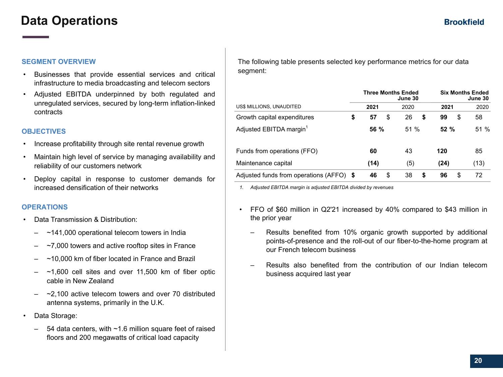## **Data Operations**

#### **SEGMENT OVERVIEW**

- Businesses that provide essential services and critical infrastructure to media broadcasting and telecom sectors
- Adjusted EBITDA underpinned by both regulated and unregulated services, secured by long-term inflation-linked contracts

#### **OBJECTIVES**

- Increase profitability through site rental revenue growth
- Maintain high level of service by managing availability and reliability of our customers network
- Deploy capital in response to customer demands for increased densification of their networks

### **OPERATIONS**

- Data Transmission & Distribution:
	- $-$  ~141,000 operational telecom towers in India
	- $-7,000$  towers and active rooftop sites in France
	- ~10,000 km of fiber located in France and Brazil
	- $-$  ~1,600 cell sites and over 11,500 km of fiber optic cable in New Zealand
	- $-2,100$  active telecom towers and over 70 distributed antenna systems, primarily in the U.K.
- Data Storage:
	- 54 data centers, with  $~1.6$  million square feet of raised floors and 200 megawatts of critical load capacity

The following table presents selected key performance metrics for our data segment:

|                                       |      |      |    | <b>Three Months Ended</b><br>June 30 | <b>Six Months Ended</b><br>June 30 |      |  |  |
|---------------------------------------|------|------|----|--------------------------------------|------------------------------------|------|--|--|
| <b>US\$ MILLIONS, UNAUDITED</b>       |      | 2021 |    | 2020                                 | 2021                               | 2020 |  |  |
| Growth capital expenditures           | \$   | 57   | \$ | 26<br>S                              | \$<br>99                           | 58   |  |  |
| Adjusted EBITDA margin <sup>1</sup>   |      | 56 % |    | 51%                                  | 52%                                | 51%  |  |  |
| Funds from operations (FFO)           |      | 60   |    | 43                                   | 120                                | 85   |  |  |
| Maintenance capital                   |      | (14) |    | (5)                                  | (24)                               | (13) |  |  |
| Adjusted funds from operations (AFFO) | - \$ | 46   | S  | 38<br>S                              | 96<br>S                            | 72   |  |  |

*1. Adjusted EBITDA margin is adjusted EBITDA divided by revenues*

- FFO of \$60 million in Q2'21 increased by 40% compared to \$43 million in the prior year
	- Results benefited from 10% organic growth supported by additional points-of-presence and the roll-out of our fiber-to-the-home program at our French telecom business
	- Results also benefited from the contribution of our Indian telecom business acquired last year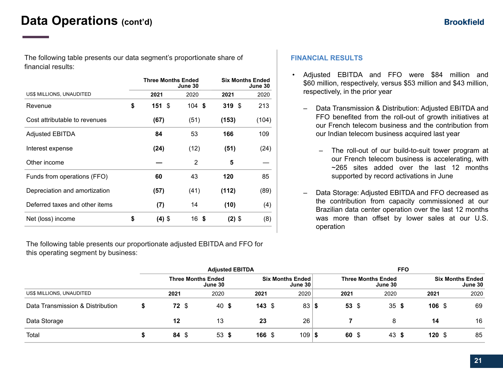## **Data Operations (cont'd)**

The following table presents our data segment's proportionate share of financial results:

|                                | <b>Three Months Ended</b> | June 30  | <b>Six Months Ended</b><br>June 30 |       |  |  |
|--------------------------------|---------------------------|----------|------------------------------------|-------|--|--|
| US\$ MILLIONS, UNAUDITED       | 2021                      | 2020     | 2021                               | 2020  |  |  |
| Revenue                        | \$<br>151S                | $104$ \$ | 319S                               | 213   |  |  |
| Cost attributable to revenues  | (67)                      | (51)     | (153)                              | (104) |  |  |
| <b>Adjusted EBITDA</b>         | 84                        | 53       | 166                                | 109   |  |  |
| Interest expense               | (24)                      | (12)     | (51)                               | (24)  |  |  |
| Other income                   |                           | 2        | 5                                  |       |  |  |
| Funds from operations (FFO)    | 60                        | 43       | 120                                | 85    |  |  |
| Depreciation and amortization  | (57)                      | (41)     | (112)                              | (89)  |  |  |
| Deferred taxes and other items | (7)                       | 14       | (10)                               | (4)   |  |  |
| Net (loss) income              | \$<br>$(4)$ \$            | 16 \$    | $(2)$ \$                           | (8)   |  |  |

The following table presents our proportionate adjusted EBITDA and FFO for this operating segment by business:

#### **FINANCIAL RESULTS**

- Adjusted EBITDA and FFO were \$84 million and \$60 million, respectively, versus \$53 million and \$43 million, respectively, in the prior year
	- Data Transmission & Distribution: Adjusted EBITDA and FFO benefited from the roll-out of growth initiatives at our French telecom business and the contribution from our Indian telecom business acquired last year
		- The roll-out of our build-to-suit tower program at our French telecom business is accelerating, with ~265 sites added over the last 12 months supported by record activations in June
	- Data Storage: Adjusted EBITDA and FFO decreased as the contribution from capacity commissioned at our Brazilian data center operation over the last 12 months was more than offset by lower sales at our U.S. operation

|                                  | <b>Adjusted EBITDA</b> |  |                                      |  |        | <b>FFO</b>                           |        |  |                                      |  |                   |  |                                    |
|----------------------------------|------------------------|--|--------------------------------------|--|--------|--------------------------------------|--------|--|--------------------------------------|--|-------------------|--|------------------------------------|
|                                  |                        |  | <b>Three Months Ended</b><br>June 30 |  |        | <b>Six Months Ended</b><br>June $30$ |        |  | <b>Three Months Ended</b><br>June 30 |  |                   |  | <b>Six Months Ended</b><br>June 30 |
| US\$ MILLIONS, UNAUDITED         | 2021                   |  | 2020                                 |  | 2021   | 2020                                 | 2021   |  | 2020                                 |  | 2021              |  | 2020                               |
| Data Transmission & Distribution | <b>72 \$</b>           |  | 40 \$                                |  | 143S   | 83 S                                 | 53 $$$ |  | 35S                                  |  | 106S              |  | 69                                 |
| Data Storage                     | 12                     |  | 13                                   |  | 23     | 26                                   |        |  | 8                                    |  | 14                |  | 16                                 |
| Total                            | $84 \text{ } $$        |  | 53S                                  |  | 166 \$ | $109$   \$                           | $60*$  |  | 43 \$                                |  | $120 \text{ }$ \$ |  | 85                                 |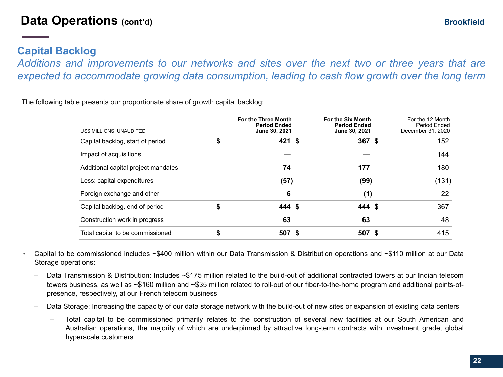## **Capital Backlog**

*Additions and improvements to our networks and sites over the next two or three years that are expected to accommodate growing data consumption, leading to cash flow growth over the long term*

The following table presents our proportionate share of growth capital backlog:

| US\$ MILLIONS, UNAUDITED            | <b>For the Three Month</b><br><b>Period Ended</b><br>June 30, 2021 | <b>For the Six Month</b><br><b>Period Ended</b><br>June 30, 2021 | For the 12 Month<br>Period Ended<br>December 31, 2020 |
|-------------------------------------|--------------------------------------------------------------------|------------------------------------------------------------------|-------------------------------------------------------|
| Capital backlog, start of period    | \$<br>$421$ \$                                                     | $367$ \$                                                         | 152                                                   |
| Impact of acquisitions              |                                                                    |                                                                  | 144                                                   |
| Additional capital project mandates | 74                                                                 | 177                                                              | 180                                                   |
| Less: capital expenditures          | (57)                                                               | (99)                                                             | (131)                                                 |
| Foreign exchange and other          | 6                                                                  | (1)                                                              | 22                                                    |
| Capital backlog, end of period      | \$<br>444 \$                                                       | 444 \$                                                           | 367                                                   |
| Construction work in progress       | 63                                                                 | 63                                                               | 48                                                    |
| Total capital to be commissioned    | \$<br>507 \$                                                       | 507 \$                                                           | 415                                                   |

- Capital to be commissioned includes ~\$400 million within our Data Transmission & Distribution operations and ~\$110 million at our Data Storage operations:
	- Data Transmission & Distribution: Includes ~\$175 million related to the build-out of additional contracted towers at our Indian telecom towers business, as well as ~\$160 million and ~\$35 million related to roll-out of our fiber-to-the-home program and additional points-ofpresence, respectively, at our French telecom business
	- Data Storage: Increasing the capacity of our data storage network with the build-out of new sites or expansion of existing data centers
		- Total capital to be commissioned primarily relates to the construction of several new facilities at our South American and Australian operations, the majority of which are underpinned by attractive long-term contracts with investment grade, global hyperscale customers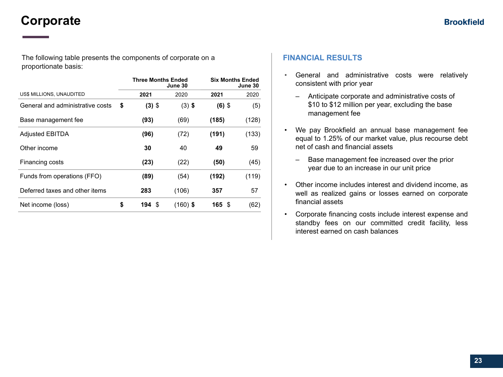## **Corporate**

The following table presents the components of corporate on a proportionate basis:

|                                  | <b>Three Months Ended</b> | June 30    | <b>Six Months Ended</b><br>June 30 |       |  |  |
|----------------------------------|---------------------------|------------|------------------------------------|-------|--|--|
| US\$ MILLIONS, UNAUDITED         | 2021                      | 2020       | 2021                               | 2020  |  |  |
| General and administrative costs | \$<br>$(3)$ \$            | $(3)$ \$   | $(6)$ \$                           | (5)   |  |  |
| Base management fee              | (93)                      | (69)       | (185)                              | (128) |  |  |
| <b>Adjusted EBITDA</b>           | (96)                      | (72)       | (191)                              | (133) |  |  |
| Other income                     | 30                        | 40         | 49                                 | 59    |  |  |
| Financing costs                  | (23)                      | (22)       | (50)                               | (45)  |  |  |
| Funds from operations (FFO)      | (89)                      | (54)       | (192)                              | (119) |  |  |
| Deferred taxes and other items   | 283                       | (106)      | 357                                | 57    |  |  |
| Net income (loss)                | \$<br>194S                | $(160)$ \$ | 165 \$                             | (62)  |  |  |

### **FINANCIAL RESULTS**

- General and administrative costs were relatively consistent with prior year
	- Anticipate corporate and administrative costs of \$10 to \$12 million per year, excluding the base management fee
- We pay Brookfield an annual base management fee equal to 1.25% of our market value, plus recourse debt net of cash and financial assets
	- Base management fee increased over the prior year due to an increase in our unit price
- Other income includes interest and dividend income, as well as realized gains or losses earned on corporate financial assets
- Corporate financing costs include interest expense and standby fees on our committed credit facility, less interest earned on cash balances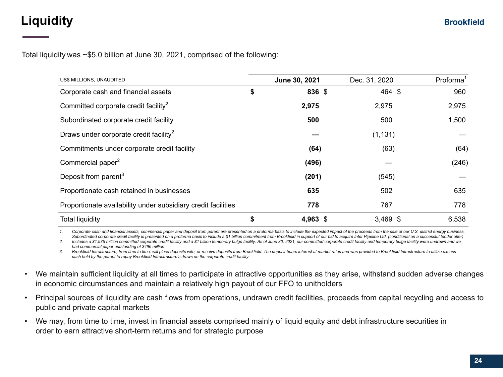## **Liquidity**

Total liquidity was ~\$5.0 billion at June 30, 2021, comprised of the following:

| US\$ MILLIONS, UNAUDITED                                      | June 30, 2021   | Dec. 31, 2020 | Proforma <sup>1</sup> |
|---------------------------------------------------------------|-----------------|---------------|-----------------------|
| Corporate cash and financial assets                           | \$<br>836 \$    | 464 \$        | 960                   |
| Committed corporate credit facility <sup>2</sup>              | 2,975           | 2,975         | 2,975                 |
| Subordinated corporate credit facility                        | 500             | 500           | 1,500                 |
| Draws under corporate credit facility <sup>2</sup>            |                 | (1, 131)      |                       |
| Commitments under corporate credit facility                   | (64)            | (63)          | (64)                  |
| Commercial paper <sup>2</sup>                                 | (496)           |               | (246)                 |
| Deposit from parent <sup>3</sup>                              | (201)           | (545)         |                       |
| Proportionate cash retained in businesses                     | 635             | 502           | 635                   |
| Proportionate availability under subsidiary credit facilities | 778             | 767           | 778                   |
| <b>Total liquidity</b>                                        | \$<br>4,963 $$$ | $3,469$ \$    | 6,538                 |

1. Corporate cash and financial assets, commercial paper and deposit from parent are presented on a proforma basis to include the expected impact of the proceeds from the sale of our U.S. district energy business. Subordinated corporate credit facility is presented on a proforma basis to include a \$1 billion commitment from Brookfield in support of our bid to acquire Inter Pipeline Ltd. (conditional on a successful tender offer)

2. Includes a \$1,975 million committed corporate credit facility and a \$1 billion temporary bulge facility. As of June 30, 2021, our committed corporate credit facility and temporary bulge facility were undrawn and we *had commercial paper outstanding of \$496 million*

3. Brookfield Infrastructure, from time to time, will place deposits with, or receive deposits from Brookfield. The deposit bears interest at market rates and was provided to Brookfield Infrastructure to utilize excess *cash held by the parent to repay Brookfield Infrastructure's draws on the corporate credit facility*

- We maintain sufficient liquidity at all times to participate in attractive opportunities as they arise, withstand sudden adverse changes in economic circumstances and maintain a relatively high payout of our FFO to unitholders
- Principal sources of liquidity are cash flows from operations, undrawn credit facilities, proceeds from capital recycling and access to public and private capital markets
- We may, from time to time, invest in financial assets comprised mainly of liquid equity and debt infrastructure securities in order to earn attractive short-term returns and for strategic purpose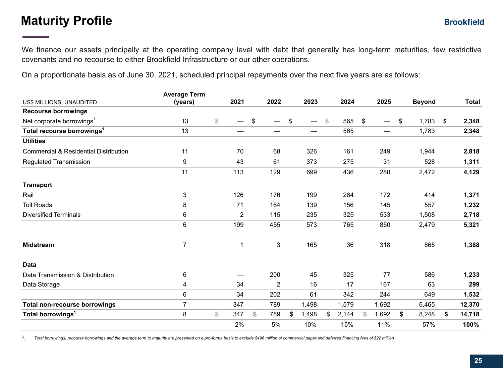## **Maturity Profile**

We finance our assets principally at the operating company level with debt that generally has long-term maturities, few restrictive covenants and no recourse to either Brookfield Infrastructure or our other operations.

On a proportionate basis as of June 30, 2021, scheduled principal repayments over the next five years are as follows:

| <b>Average Term</b> |           |              |             |             |             |               |              |
|---------------------|-----------|--------------|-------------|-------------|-------------|---------------|--------------|
| (years)             | 2021      | 2022         | 2023        | 2024        | 2025        | <b>Beyond</b> | <b>Total</b> |
|                     |           |              |             |             |             |               |              |
| 13                  | \$        | \$           | \$          | \$<br>565   | \$          | \$<br>1,783   | \$<br>2,348  |
| 13                  | —         | —            | —           | 565         |             | 1,783         | 2,348        |
|                     |           |              |             |             |             |               |              |
| 11                  | 70        | 68           | 326         | 161         | 249         | 1,944         | 2,818        |
| 9                   | 43        | 61           | 373         | 275         | 31          | 528           | 1,311        |
| 11                  | 113       | 129          | 699         | 436         | 280         | 2,472         | 4,129        |
|                     |           |              |             |             |             |               |              |
| 3                   | 126       | 176          | 199         | 284         | 172         | 414           | 1,371        |
| 8                   | 71        | 164          | 139         | 156         | 145         | 557           | 1,232        |
| 6                   | 2         | 115          | 235         | 325         | 533         | 1,508         | 2,718        |
| 6                   | 199       | 455          | 573         | 765         | 850         | 2,479         | 5,321        |
| $\overline{7}$      | 1         | $\mathbf{3}$ | 165         | 36          | 318         | 865           | 1,388        |
|                     |           |              |             |             |             |               |              |
| 6                   |           | 200          | 45          | 325         | 77          | 586           | 1,233        |
| 4                   | 34        | 2            | 16          | 17          | 167         | 63            | 299          |
| 6                   | 34        | 202          | 61          | 342         | 244         | 649           | 1,532        |
| 7                   | 347       | 789          | 1,498       | 1,579       | 1,692       | 6,465         | 12,370       |
| 8                   | \$<br>347 | \$<br>789    | \$<br>1,498 | \$<br>2,144 | \$<br>1,692 | \$<br>8,248   | \$<br>14,718 |
|                     | 2%        | 5%           | 10%         | 15%         | 11%         | 57%           | 100%         |
|                     |           |              |             |             |             |               |              |

*1. Total borrowings, recourse borrowings and the average term to maturity are presented on a pro-forma basis to exclude \$496 million of commercial paper and deferred financing fees of \$22 million*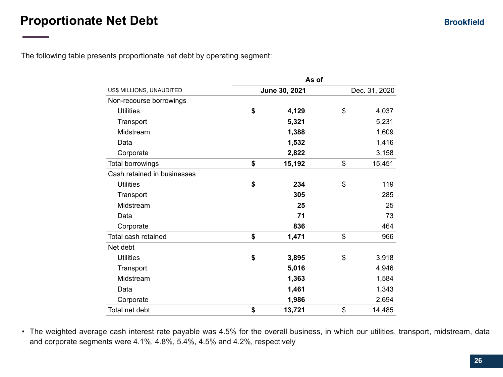The following table presents proportionate net debt by operating segment:

|                             |               | As of         |              |  |  |  |  |  |  |
|-----------------------------|---------------|---------------|--------------|--|--|--|--|--|--|
| US\$ MILLIONS, UNAUDITED    | June 30, 2021 | Dec. 31, 2020 |              |  |  |  |  |  |  |
| Non-recourse borrowings     |               |               |              |  |  |  |  |  |  |
| <b>Utilities</b>            | \$            | 4,129         | \$<br>4,037  |  |  |  |  |  |  |
| Transport                   |               | 5,321         | 5,231        |  |  |  |  |  |  |
| Midstream                   |               | 1,388         | 1,609        |  |  |  |  |  |  |
| Data                        |               | 1,532         | 1,416        |  |  |  |  |  |  |
| Corporate                   |               | 2,822         | 3,158        |  |  |  |  |  |  |
| Total borrowings            | \$            | 15,192        | \$<br>15,451 |  |  |  |  |  |  |
| Cash retained in businesses |               |               |              |  |  |  |  |  |  |
| <b>Utilities</b>            | \$            | 234           | \$<br>119    |  |  |  |  |  |  |
| Transport                   |               | 305           | 285          |  |  |  |  |  |  |
| Midstream                   |               | 25            | 25           |  |  |  |  |  |  |
| Data                        |               | 71            | 73           |  |  |  |  |  |  |
| Corporate                   |               | 836           | 464          |  |  |  |  |  |  |
| Total cash retained         | \$            | 1,471         | \$<br>966    |  |  |  |  |  |  |
| Net debt                    |               |               |              |  |  |  |  |  |  |
| <b>Utilities</b>            | \$            | 3,895         | \$<br>3,918  |  |  |  |  |  |  |
| Transport                   |               | 5,016         | 4,946        |  |  |  |  |  |  |
| Midstream                   |               | 1,363         | 1,584        |  |  |  |  |  |  |
| Data                        |               | 1,461         | 1,343        |  |  |  |  |  |  |
| Corporate                   |               | 1,986         | 2,694        |  |  |  |  |  |  |
| Total net debt              | \$            | 13,721        | \$<br>14,485 |  |  |  |  |  |  |

• The weighted average cash interest rate payable was 4.5% for the overall business, in which our utilities, transport, midstream, data and corporate segments were 4.1%, 4.8%, 5.4%, 4.5% and 4.2%, respectively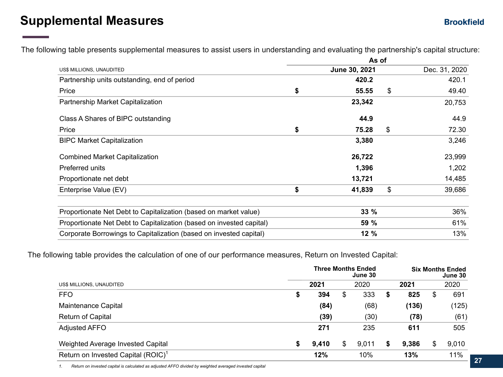## **Supplemental Measures**

The following table presents supplemental measures to assist users in understanding and evaluating the partnership's capital structure:

|                                                                      | As of |               |    |               |  |  |  |  |  |
|----------------------------------------------------------------------|-------|---------------|----|---------------|--|--|--|--|--|
| US\$ MILLIONS, UNAUDITED                                             |       | June 30, 2021 |    | Dec. 31, 2020 |  |  |  |  |  |
| Partnership units outstanding, end of period                         |       | 420.2         |    | 420.1         |  |  |  |  |  |
| Price                                                                | \$    | 55.55         | \$ | 49.40         |  |  |  |  |  |
| Partnership Market Capitalization                                    |       | 23,342        |    | 20,753        |  |  |  |  |  |
| Class A Shares of BIPC outstanding                                   |       | 44.9          |    | 44.9          |  |  |  |  |  |
| Price                                                                | \$    | 75.28         | \$ | 72.30         |  |  |  |  |  |
| <b>BIPC Market Capitalization</b>                                    |       | 3,380         |    | 3,246         |  |  |  |  |  |
| <b>Combined Market Capitalization</b>                                |       | 26,722        |    | 23,999        |  |  |  |  |  |
| Preferred units                                                      |       | 1,396         |    | 1,202         |  |  |  |  |  |
| Proportionate net debt                                               |       | 13,721        |    | 14,485        |  |  |  |  |  |
| Enterprise Value (EV)                                                | \$    | 41,839        | \$ | 39,686        |  |  |  |  |  |
| Proportionate Net Debt to Capitalization (based on market value)     |       | 33 %          |    | 36%           |  |  |  |  |  |
| Proportionate Net Debt to Capitalization (based on invested capital) |       | 59 %          |    | 61%           |  |  |  |  |  |
| Corporate Borrowings to Capitalization (based on invested capital)   |       | 12%           |    | 13%           |  |  |  |  |  |

The following table provides the calculation of one of our performance measures, Return on Invested Capital:

|                                                |    |       | <b>Three Months Ended</b><br>June 30 |             | <b>Six Months Ended</b><br>June 30 |       |
|------------------------------------------------|----|-------|--------------------------------------|-------------|------------------------------------|-------|
| US\$ MILLIONS, UNAUDITED                       |    | 2021  | 2020                                 | 2021        |                                    | 2020  |
| <b>FFO</b>                                     | \$ | 394   | \$<br>333                            | \$<br>825   | \$                                 | 691   |
| Maintenance Capital                            |    | (84)  | (68)                                 | (136)       |                                    | (125) |
| <b>Return of Capital</b>                       |    | (39)  | (30)                                 | (78)        |                                    | (61)  |
| <b>Adjusted AFFO</b>                           |    | 271   | 235                                  | 611         |                                    | 505   |
| Weighted Average Invested Capital              | \$ | 9,410 | \$<br>9,011                          | \$<br>9,386 | \$                                 | 9,010 |
| Return on Invested Capital (ROIC) <sup>1</sup> |    | 12%   | 10%                                  | 13%         |                                    | 11%   |

*1. Return on invested capital is calculated as adjusted AFFO divided by weighted averaged invested capital*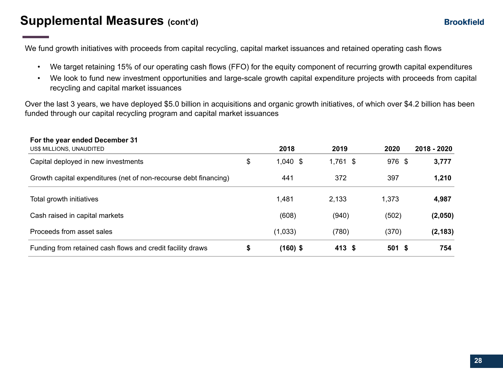## **Supplemental Measures (cont'd)**

We fund growth initiatives with proceeds from capital recycling, capital market issuances and retained operating cash flows

- We target retaining 15% of our operating cash flows (FFO) for the equity component of recurring growth capital expenditures
- We look to fund new investment opportunities and large-scale growth capital expenditure projects with proceeds from capital recycling and capital market issuances

Over the last 3 years, we have deployed \$5.0 billion in acquisitions and organic growth initiatives, of which over \$4.2 billion has been funded through our capital recycling program and capital market issuances

| For the year ended December 31                                   |                  |            |          |             |
|------------------------------------------------------------------|------------------|------------|----------|-------------|
| US\$ MILLIONS, UNAUDITED                                         | 2018             | 2019       | 2020     | 2018 - 2020 |
| Capital deployed in new investments                              | \$<br>$1,040$ \$ | $1,761$ \$ | 976 \$   | 3,777       |
| Growth capital expenditures (net of non-recourse debt financing) | 441              | 372        | 397      | 1,210       |
| Total growth initiatives                                         | 1,481            | 2,133      | 1,373    | 4,987       |
| Cash raised in capital markets                                   | (608)            | (940)      | (502)    | (2,050)     |
| Proceeds from asset sales                                        | (1,033)          | (780)      | (370)    | (2, 183)    |
| Funding from retained cash flows and credit facility draws       | \$<br>$(160)$ \$ | 413S       | $501$ \$ | 754         |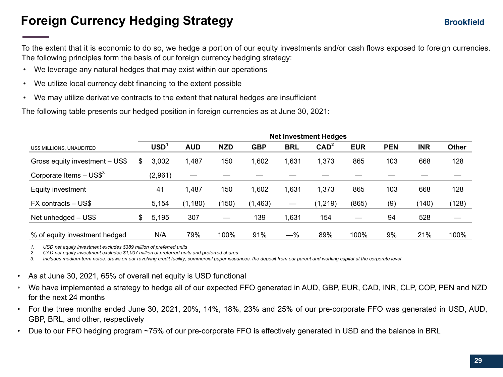## **Foreign Currency Hedging Strategy**

To the extent that it is economic to do so, we hedge a portion of our equity investments and/or cash flows exposed to foreign currencies. The following principles form the basis of our foreign currency hedging strategy:

- We leverage any natural hedges that may exist within our operations
- We utilize local currency debt financing to the extent possible
- We may utilize derivative contracts to the extent that natural hedges are insufficient

The following table presents our hedged position in foreign currencies as at June 30, 2021:

|                                       |    | <b>Net Investment Hedges</b> |            |            |            |                   |                  |            |            |            |              |
|---------------------------------------|----|------------------------------|------------|------------|------------|-------------------|------------------|------------|------------|------------|--------------|
| US\$ MILLIONS, UNAUDITED              |    | <b>USD</b>                   | <b>AUD</b> | <b>NZD</b> | <b>GBP</b> | <b>BRL</b>        | CAD <sup>2</sup> | <b>EUR</b> | <b>PEN</b> | <b>INR</b> | <b>Other</b> |
| Gross equity investment - US\$        | S  | 3,002                        | ,487       | 150        | 1,602      | 1,631             | 1,373            | 865        | 103        | 668        | 128          |
| Corporate Items $-$ US\$ <sup>3</sup> |    | (2,961)                      |            |            |            |                   |                  |            |            |            |              |
| Equity investment                     |    | 41                           | ,487       | 150        | 1,602      | 1,631             | 1,373            | 865        | 103        | 668        | 128          |
| FX contracts – US\$                   |    | 5,154                        | (1, 180)   | (150)      | (1,463)    | $\hspace{0.05cm}$ | (1, 219)         | (865)      | (9)        | (140)      | (128)        |
| Net unhedged - US\$                   | \$ | 5,195                        | 307        |            | 139        | 1,631             | 154              |            | 94         | 528        |              |
| % of equity investment hedged         |    | N/A                          | 79%        | 100%       | 91%        | $-\%$             | 89%              | 100%       | 9%         | 21%        | 100%         |

*1. USD net equity investment excludes \$389 million of preferred units*

*2. CAD net equity investment excludes \$1,007 million of preferred units and preferred shares*

*3. Includes medium-term notes, draws on our revolving credit facility, commercial paper issuances, the deposit from our parent and working capital at the corporate level*

- As at June 30, 2021, 65% of overall net equity is USD functional
- We have implemented a strategy to hedge all of our expected FFO generated in AUD, GBP, EUR, CAD, INR, CLP, COP, PEN and NZD for the next 24 months
- For the three months ended June 30, 2021, 20%, 14%, 18%, 23% and 25% of our pre-corporate FFO was generated in USD, AUD, GBP, BRL, and other, respectively
- Due to our FFO hedging program ~75% of our pre-corporate FFO is effectively generated in USD and the balance in BRL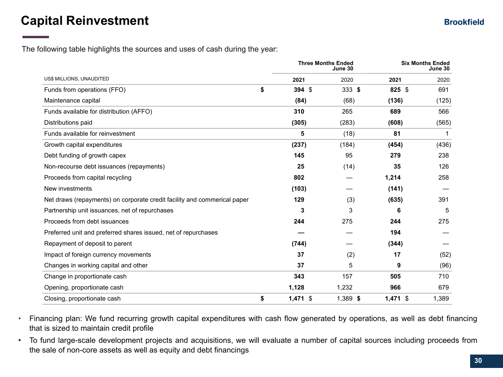## **Capital Reinvestment**

The following table highlights the sources and uses of cash during the year:

|                                                                          |                  | <b>Three Months Ended</b><br>June 30 | <b>Six Months Ended</b><br>June 30 |             |  |
|--------------------------------------------------------------------------|------------------|--------------------------------------|------------------------------------|-------------|--|
| US\$ MILLIONS, UNAUDITED                                                 | 2021             | 2020                                 | 2021                               | 2020        |  |
| Funds from operations (FFO)                                              | \$<br>394 \$     | $333$ \$                             | 825 \$                             | 691         |  |
| Maintenance capital                                                      | (84)             | (68)                                 | (136)                              | (125)       |  |
| Funds available for distribution (AFFO)                                  | 310              | 265                                  | 689                                | 566         |  |
| Distributions paid                                                       | (305)            | (283)                                | (608)                              | (565)       |  |
| Funds available for reinvestment                                         | 5                | (18)                                 | 81                                 | $\mathbf 1$ |  |
| Growth capital expenditures                                              | (237)            | (184)                                | (454)                              | (436)       |  |
| Debt funding of growth capex                                             | 145              | 95                                   | 279                                | 238         |  |
| Non-recourse debt issuances (repayments)                                 | 25               | (14)                                 | 35                                 | 126         |  |
| Proceeds from capital recycling                                          | 802              |                                      | 1,214                              | 258         |  |
| New investments                                                          | (103)            |                                      | (141)                              |             |  |
| Net draws (repayments) on corporate credit facility and commerical paper | 129              | (3)                                  | (635)                              | 391         |  |
| Partnership unit issuances, net of repurchases                           | 3                | 3                                    | 6                                  | 5           |  |
| Proceeds from debt issuances                                             | 244              | 275                                  | 244                                | 275         |  |
| Preferred unit and preferred shares issued, net of repurchases           |                  |                                      | 194                                |             |  |
| Repayment of deposit to parent                                           | (744)            |                                      | (344)                              |             |  |
| Impact of foreign currency movements                                     | 37               | (2)                                  | 17                                 | (52)        |  |
| Changes in working capital and other                                     | 37               | 5                                    | 9                                  | (96)        |  |
| Change in proportionate cash                                             | 343              | 157                                  | 505                                | 710         |  |
| Opening, proportionate cash                                              | 1,128            | 1,232                                | 966                                | 679         |  |
| Closing, proportionate cash                                              | \$<br>$1,471$ \$ | $1,389$ \$                           | $1,471$ \$                         | 1,389       |  |

• Financing plan: We fund recurring growth capital expenditures with cash flow generated by operations, as well as debt financing that is sized to maintain credit profile

• To fund large-scale development projects and acquisitions, we will evaluate a number of capital sources including proceeds from the sale of non-core assets as well as equity and debt financings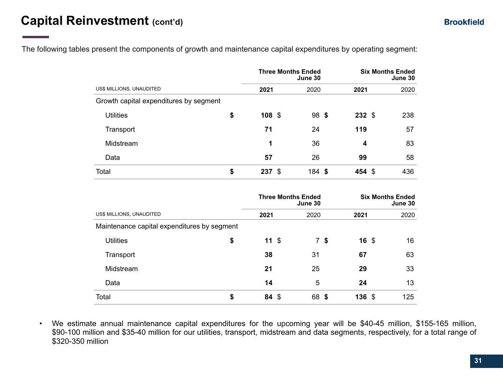The following tables present the components of growth and maintenance capital expenditures by operating segment:

|                                        |    | <b>Three Months Ended</b><br>June 30 |  |                                      | <b>Six Months Ended</b><br>June 30 |  |                                    |  |  |
|----------------------------------------|----|--------------------------------------|--|--------------------------------------|------------------------------------|--|------------------------------------|--|--|
| US\$ MILLIONS, UNAUDITED               |    | 2021                                 |  | 2020                                 | 2021                               |  | 2020                               |  |  |
| Growth capital expenditures by segment |    |                                      |  |                                      |                                    |  |                                    |  |  |
| <b>Utilities</b>                       | \$ | $108$ \$                             |  | $98$ \$                              | $232$ \$                           |  | 238                                |  |  |
| Transport                              |    | 71                                   |  | 24                                   | 119                                |  | 57                                 |  |  |
| Midstream                              |    | 1                                    |  | 36                                   | 4                                  |  | 83                                 |  |  |
| Data                                   |    | 57                                   |  | 26                                   | 99                                 |  | 58                                 |  |  |
| Total                                  | \$ | 237 \$                               |  | $184$ \$                             | 454 \$                             |  | 436                                |  |  |
|                                        |    |                                      |  | <b>Three Months Ended</b><br>June 30 |                                    |  | <b>Six Months Ended</b><br>June 30 |  |  |
| US\$ MILLIONS, UNAUDITED               |    | 2021                                 |  | 2020                                 | 2021                               |  | 2020                               |  |  |
|                                        |    |                                      |  |                                      |                                    |  |                                    |  |  |

Maintenance capital expenditures by segment Utilities **\$ 11** \$ 7 **\$ 16** \$ 16 Transport **38** 31 **67** 63 Midstream **21** 25 **29** 33 Data **14** 5 **24** 13 Total **\$ 84** \$ 68 **\$ 136** \$ 125

• We estimate annual maintenance capital expenditures for the upcoming year will be \$40-45 million, \$155-165 million, \$90-100 million and \$35-40 million for our utilities, transport, midstream and data segments, respectively, for a total range of \$320-350 million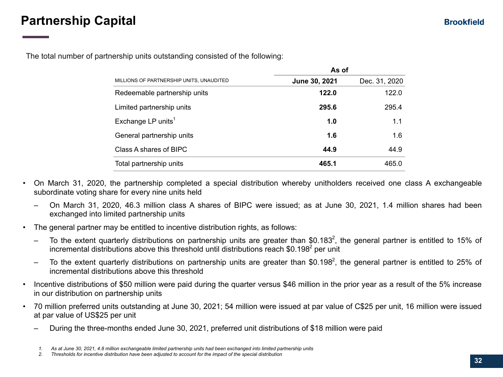## **Partnership Capital**

The total number of partnership units outstanding consisted of the following:

|                                          | As of         |               |  |  |  |  |
|------------------------------------------|---------------|---------------|--|--|--|--|
| MILLIONS OF PARTNERSHIP UNITS, UNAUDITED | June 30, 2021 | Dec. 31, 2020 |  |  |  |  |
| Redeemable partnership units             | 122.0         | 122.0         |  |  |  |  |
| Limited partnership units                | 295.6         | 295.4         |  |  |  |  |
| Exchange LP units <sup>1</sup>           | 1.0           | 1.1           |  |  |  |  |
| General partnership units                | 1.6           | 1.6           |  |  |  |  |
| Class A shares of BIPC                   | 44.9          | 44.9          |  |  |  |  |
| Total partnership units                  | 465.1         | 465.0         |  |  |  |  |

- On March 31, 2020, the partnership completed a special distribution whereby unitholders received one class A exchangeable subordinate voting share for every nine units held
	- On March 31, 2020, 46.3 million class A shares of BIPC were issued; as at June 30, 2021, 1.4 million shares had been exchanged into limited partnership units
- The general partner may be entitled to incentive distribution rights, as follows:
	- $-$  To the extent quarterly distributions on partnership units are greater than \$0.183<sup>2</sup>, the general partner is entitled to 15% of incremental distributions above this threshold until distributions reach \$0.198<sup>2</sup> per unit
	- $-$  To the extent quarterly distributions on partnership units are greater than \$0.198<sup>2</sup>, the general partner is entitled to 25% of incremental distributions above this threshold
- Incentive distributions of \$50 million were paid during the quarter versus \$46 million in the prior year as a result of the 5% increase in our distribution on partnership units
- 70 million preferred units outstanding at June 30, 2021; 54 million were issued at par value of C\$25 per unit, 16 million were issued at par value of US\$25 per unit
	- During the three-months ended June 30, 2021, preferred unit distributions of \$18 million were paid

*<sup>1.</sup> As at June 30, 2021, 4.8 million exchangeable limited partnership units had been exchanged into limited partnership units*

*<sup>2.</sup> Thresholds for incentive distribution have been adjusted to account for the impact of the special distribution*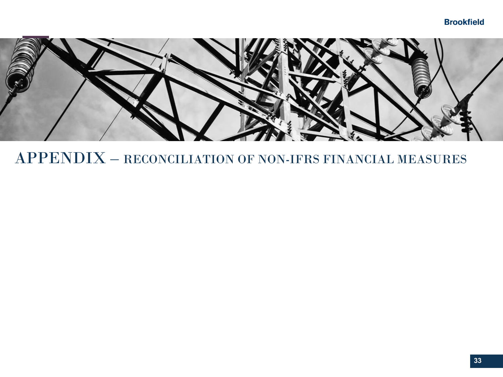### **Brookfield**



## APPENDIX – RECONCILIATION OF NON-IFRS FINANCIAL MEASURES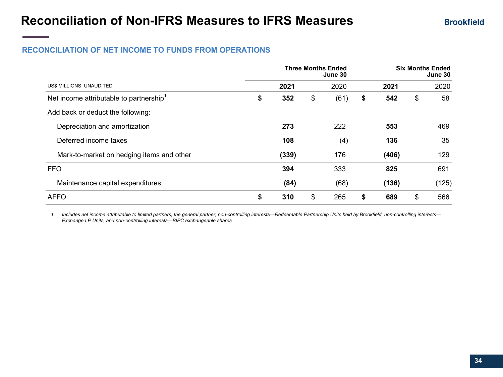### **RECONCILIATION OF NET INCOME TO FUNDS FROM OPERATIONS**

|                                                     | <b>Three Months Ended</b> | <b>Six Months Ended</b><br>June 30 |           |    |       |
|-----------------------------------------------------|---------------------------|------------------------------------|-----------|----|-------|
| US\$ MILLIONS, UNAUDITED                            | 2021                      | 2020                               | 2021      |    | 2020  |
| Net income attributable to partnership <sup>1</sup> | \$<br>352                 | \$<br>(61)                         | \$<br>542 | \$ | 58    |
| Add back or deduct the following:                   |                           |                                    |           |    |       |
| Depreciation and amortization                       | 273                       | 222                                | 553       |    | 469   |
| Deferred income taxes                               | 108                       | (4)                                | 136       |    | 35    |
| Mark-to-market on hedging items and other           | (339)                     | 176                                | (406)     |    | 129   |
| <b>FFO</b>                                          | 394                       | 333                                | 825       |    | 691   |
| Maintenance capital expenditures                    | (84)                      | (68)                               | (136)     |    | (125) |
| <b>AFFO</b>                                         | \$<br>310                 | \$<br>265                          | \$<br>689 | \$ | 566   |

*1. Includes net income attributable to limited partners, the general partner, non-controlling interests—Redeemable Partnership Units held by Brookfield, non-controlling interests— Exchange LP Units, and non-controlling interests—BIPC exchangeable shares*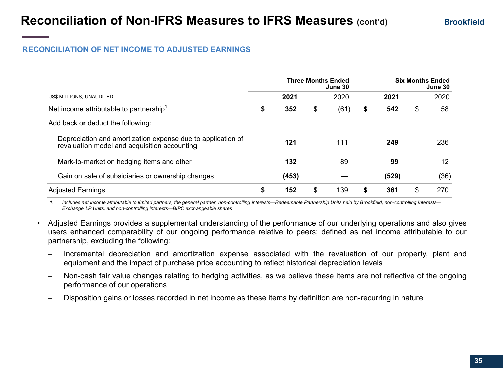### **RECONCILIATION OF NET INCOME TO ADJUSTED EARNINGS**

|                                                                                                             |           | <b>Three Months Ended</b><br>June 30 |      | <b>Six Months Ended</b><br>June 30 |       |    |      |
|-------------------------------------------------------------------------------------------------------------|-----------|--------------------------------------|------|------------------------------------|-------|----|------|
| US\$ MILLIONS, UNAUDITED                                                                                    | 2021      |                                      | 2020 |                                    | 2021  |    | 2020 |
| Net income attributable to partnership <sup>1</sup>                                                         | \$<br>352 | \$                                   | (61) | \$                                 | 542   | \$ | 58   |
| Add back or deduct the following:                                                                           |           |                                      |      |                                    |       |    |      |
| Depreciation and amortization expense due to application of<br>revaluation model and acquisition accounting | 121       |                                      | 111  |                                    | 249   |    | 236  |
| Mark-to-market on hedging items and other                                                                   | 132       |                                      | 89   |                                    | 99    |    | 12   |
| Gain on sale of subsidiaries or ownership changes                                                           | (453)     |                                      |      |                                    | (529) |    | (36) |
| <b>Adjusted Earnings</b>                                                                                    | \$<br>152 | \$                                   | 139  | S                                  | 361   | \$ | 270  |

*1. Includes net income attributable to limited partners, the general partner, non-controlling interests—Redeemable Partnership Units held by Brookfield, non-controlling interests— Exchange LP Units, and non-controlling interests—BIPC exchangeable shares*

- Adjusted Earnings provides a supplemental understanding of the performance of our underlying operations and also gives users enhanced comparability of our ongoing performance relative to peers; defined as net income attributable to our partnership, excluding the following:
	- Incremental depreciation and amortization expense associated with the revaluation of our property, plant and equipment and the impact of purchase price accounting to reflect historical depreciation levels
	- Non-cash fair value changes relating to hedging activities, as we believe these items are not reflective of the ongoing performance of our operations
	- Disposition gains or losses recorded in net income as these items by definition are non-recurring in nature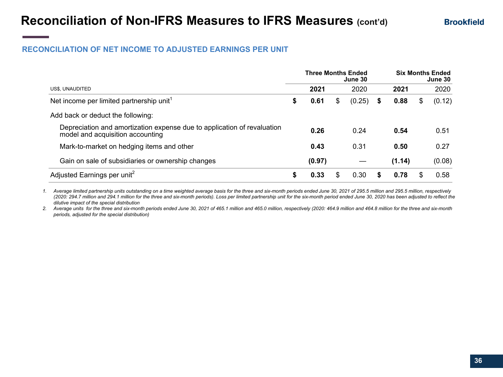#### **RECONCILIATION OF NET INCOME TO ADJUSTED EARNINGS PER UNIT**

|                                                                                                             |    | <b>Three Months Ended</b> |     | June 30 |   |        | <b>Six Months Ended</b><br>June 30 |        |  |
|-------------------------------------------------------------------------------------------------------------|----|---------------------------|-----|---------|---|--------|------------------------------------|--------|--|
| US\$, UNAUDITED                                                                                             |    | 2021                      |     | 2020    |   | 2021   |                                    | 2020   |  |
| Net income per limited partnership unit <sup>1</sup>                                                        | \$ | 0.61                      | \$  | (0.25)  | S | 0.88   | S                                  | (0.12) |  |
| Add back or deduct the following:                                                                           |    |                           |     |         |   |        |                                    |        |  |
| Depreciation and amortization expense due to application of revaluation<br>model and acquisition accounting |    | 0.26                      |     | 0.24    |   | 0.54   |                                    | 0.51   |  |
| Mark-to-market on hedging items and other                                                                   |    | 0.43                      |     | 0.31    |   | 0.50   |                                    | 0.27   |  |
| Gain on sale of subsidiaries or ownership changes                                                           |    | (0.97)                    |     |         |   | (1.14) |                                    | (0.08) |  |
| Adjusted Earnings per unit <sup>2</sup>                                                                     | S  | 0.33                      | \$. | 0.30    |   | 0.78   |                                    | 0.58   |  |

*1. Average limited partnership units outstanding on a time weighted average basis for the three and six-month periods ended June 30, 2021 of 295.5 million and 295.5 million, respectively (2020: 294.7 million and 294.1 million for the three and six-month periods). Loss per limited partnership unit for the six-month period ended June 30, 2020 has been adjusted to reflect the dilutive impact of the special distribution*

*2. Average units for the three and six-month periods ended June 30, 2021 of 465.1 million and 465.0 million, respectively (2020: 464.9 million and 464.8 million for the three and six-month periods, adjusted for the special distribution)*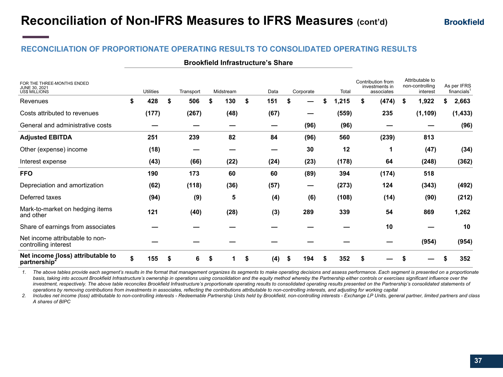| Net income (loss) attributable to<br>partnership <sup>2</sup>       | \$<br>155        | \$<br>6   | S |           | \$<br>(4) | 194<br>S  | S | 352   | \$                                                |   |                                                |   | 352                                    |
|---------------------------------------------------------------------|------------------|-----------|---|-----------|-----------|-----------|---|-------|---------------------------------------------------|---|------------------------------------------------|---|----------------------------------------|
| Net income attributable to non-<br>controlling interest             |                  |           |   |           |           |           |   |       |                                                   |   | (954)                                          |   | (954)                                  |
| Share of earnings from associates                                   |                  |           |   |           |           |           |   |       | 10                                                |   |                                                |   | 10                                     |
| Mark-to-market on hedging items<br>and other                        | 121              | (40)      |   | (28)      | (3)       | 289       |   | 339   | 54                                                |   | 869                                            |   | 1,262                                  |
| Deferred taxes                                                      | (94)             | (9)       |   | 5         | (4)       | (6)       |   | (108) | (14)                                              |   | (90)                                           |   | (212)                                  |
| Depreciation and amortization                                       | (62)             | (118)     |   | (36)      | (57)      | –         |   | (273) | 124                                               |   | (343)                                          |   | (492)                                  |
| <b>FFO</b>                                                          | 190              | 173       |   | 60        | 60        | (89)      |   | 394   | (174)                                             |   | 518                                            |   |                                        |
| Interest expense                                                    | (43)             | (66)      |   | (22)      | (24)      | (23)      |   | (178) | 64                                                |   | (248)                                          |   | (362)                                  |
| Other (expense) income                                              | (18)             |           |   |           |           | 30        |   | 12    | 1                                                 |   | (47)                                           |   | (34)                                   |
| <b>Adjusted EBITDA</b>                                              | 251              | 239       |   | 82        | 84        | (96)      |   | 560   | (239)                                             |   | 813                                            |   |                                        |
| General and administrative costs                                    |                  |           |   |           |           | (96)      |   | (96)  |                                                   |   |                                                |   | (96)                                   |
| Costs attributed to revenues                                        | (177)            | (267)     |   | (48)      | (67)      |           |   | (559) | 235                                               |   | (1, 109)                                       |   | (1, 433)                               |
| Revenues                                                            | \$<br>428        | \$<br>506 | S | 130       | \$<br>151 | S         | S | ,215  | \$<br>(474)                                       | S | 1,922                                          | S | 2,663                                  |
| FOR THE THREE-MONTHS ENDED<br>JUNE 30, 2021<br><b>US\$ MILLIONS</b> | <b>Utilities</b> | Transport |   | Midstream | Data      | Corporate |   | Total | Contribution from<br>investments in<br>associates |   | Attributable to<br>non-controlling<br>interest |   | As per IFRS<br>financials <sup>1</sup> |

#### **Brookfield Infrastructure's Share**

*1. The above tables provide each segment's results in the format that management organizes its segments to make operating decisions and assess performance. Each segment is presented on a proportionate*  basis, taking into account Brookfield Infrastructure's ownership in operations using consolidation and the equity method whereby the Partnership either controls or exercises significant influence over the investment, respectively. The above table reconciles Brookfield Infrastructure's proportionate operating results to consolidated operating results presented on the Partnership's consolidated statements of *operations by removing contributions from investments in associates, reflecting the contributions attributable to non-controlling interests, and adjusting for working capital*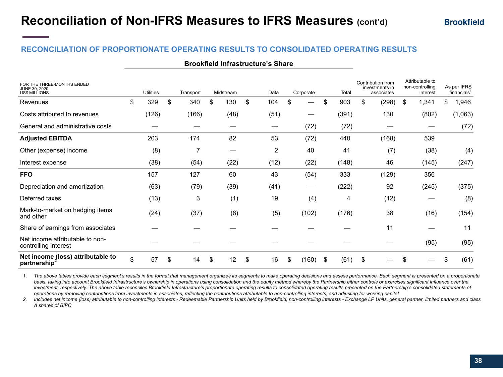| <b>Brookfield Infrastructure's Share</b> |  |  |  |
|------------------------------------------|--|--|--|
|------------------------------------------|--|--|--|

| FOR THE THREE-MONTHS ENDED<br>JUNE 30, 2020<br><b>US\$ MILLIONS</b> | <b>Utilities</b> |    | Transport | Midstream | Data      |                | Corporate   | Total      | Contribution from<br>investments in<br>associates | Attributable to<br>non-controlling<br>interest |    | As per IFRS<br>financials <sup>1</sup> |
|---------------------------------------------------------------------|------------------|----|-----------|-----------|-----------|----------------|-------------|------------|---------------------------------------------------|------------------------------------------------|----|----------------------------------------|
| Revenues                                                            | \$<br>329        | \$ | 340       | \$<br>130 | \$<br>104 |                | \$          | \$<br>903  | \$<br>(298)                                       | \$<br>1,341                                    | \$ | 1,946                                  |
| Costs attributed to revenues                                        | (126)            |    | (166)     | (48)      | (51)      |                |             | (391)      | 130                                               | (802)                                          |    | (1,063)                                |
| General and administrative costs                                    |                  |    |           |           | —         |                | (72)        | (72)       |                                                   |                                                |    | (72)                                   |
| <b>Adjusted EBITDA</b>                                              | 203              |    | 174       | 82        | 53        |                | (72)        | 440        | (168)                                             | 539                                            |    |                                        |
| Other (expense) income                                              | (8)              |    | 7         | —         |           | $\overline{c}$ | 40          | 41         | (7)                                               | (38)                                           |    | (4)                                    |
| Interest expense                                                    | (38)             |    | (54)      | (22)      | (12)      |                | (22)        | (148)      | 46                                                | (145)                                          |    | (247)                                  |
| <b>FFO</b>                                                          | 157              |    | 127       | 60        | 43        |                | (54)        | 333        | (129)                                             | 356                                            |    |                                        |
| Depreciation and amortization                                       | (63)             |    | (79)      | (39)      | (41)      |                | —           | (222)      | 92                                                | (245)                                          |    | (375)                                  |
| Deferred taxes                                                      | (13)             |    | 3         | (1)       | 19        |                | (4)         | 4          | (12)                                              |                                                |    | (8)                                    |
| Mark-to-market on hedging items<br>and other                        | (24)             |    | (37)      | (8)       | (5)       |                | (102)       | (176)      | 38                                                | (16)                                           |    | (154)                                  |
| Share of earnings from associates                                   |                  |    |           |           |           |                |             |            | 11                                                |                                                |    | 11                                     |
| Net income attributable to non-<br>controlling interest             |                  |    |           |           |           |                |             |            |                                                   | (95)                                           |    | (95)                                   |
| Net income (loss) attributable to<br>partnership <sup>2</sup>       | \$<br>57         | S  | 14        | \$<br>12  | \$<br>16  |                | \$<br>(160) | \$<br>(61) | \$                                                |                                                | ß. | (61)                                   |

*1. The above tables provide each segment's results in the format that management organizes its segments to make operating decisions and assess performance. Each segment is presented on a proportionate*  basis, taking into account Brookfield Infrastructure's ownership in operations using consolidation and the equity method whereby the Partnership either controls or exercises significant influence over the investment, respectively. The above table reconciles Brookfield Infrastructure's proportionate operating results to consolidated operating results presented on the Partnership's consolidated statements of *operations by removing contributions from investments in associates, reflecting the contributions attributable to non-controlling interests, and adjusting for working capital*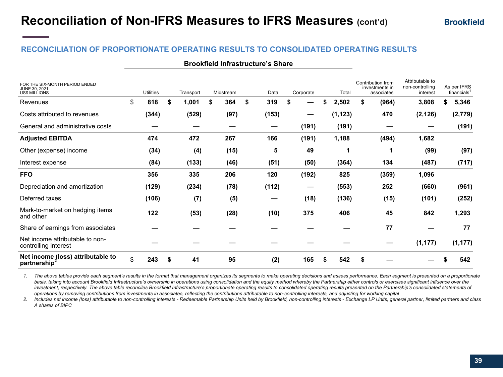| <b>Brookfield Infrastructure's Share</b> |  |  |  |
|------------------------------------------|--|--|--|
|------------------------------------------|--|--|--|

| FOR THE SIX-MONTH PERIOD ENDED<br>JUNE 30, 2021<br><b>US\$ MILLIONS</b> | <b>Utilities</b> |    | Transport | Midstream | Data      |   | Corporate |    | Total    |    | Contribution from<br>investments in<br>associates | Attributable to<br>non-controlling<br>interest |   | As per IFRS<br>financials <sup>1</sup> |
|-------------------------------------------------------------------------|------------------|----|-----------|-----------|-----------|---|-----------|----|----------|----|---------------------------------------------------|------------------------------------------------|---|----------------------------------------|
| Revenues                                                                | \$<br>818        | S. | 1,001     | \$<br>364 | \$<br>319 | S |           | \$ | 2,502    | \$ | (964)                                             | 3,808                                          | S | 5,346                                  |
| Costs attributed to revenues                                            | (344)            |    | (529)     | (97)      | (153)     |   |           |    | (1, 123) |    | 470                                               | (2, 126)                                       |   | (2,779)                                |
| General and administrative costs                                        |                  |    |           |           |           |   | (191)     |    | (191)    |    |                                                   |                                                |   | (191)                                  |
| <b>Adjusted EBITDA</b>                                                  | 474              |    | 472       | 267       | 166       |   | (191)     |    | 1,188    |    | (494)                                             | 1,682                                          |   |                                        |
| Other (expense) income                                                  | (34)             |    | (4)       | (15)      | 5         |   | 49        |    | 1        |    | 1                                                 | (99)                                           |   | (97)                                   |
| Interest expense                                                        | (84)             |    | (133)     | (46)      | (51)      |   | (50)      |    | (364)    |    | 134                                               | (487)                                          |   | (717)                                  |
| <b>FFO</b>                                                              | 356              |    | 335       | 206       | 120       |   | (192)     |    | 825      |    | (359)                                             | 1,096                                          |   |                                        |
| Depreciation and amortization                                           | (129)            |    | (234)     | (78)      | (112)     |   | —         |    | (553)    |    | 252                                               | (660)                                          |   | (961)                                  |
| Deferred taxes                                                          | (106)            |    | (7)       | (5)       |           |   | (18)      |    | (136)    |    | (15)                                              | (101)                                          |   | (252)                                  |
| Mark-to-market on hedging items<br>and other                            | 122              |    | (53)      | (28)      | (10)      |   | 375       |    | 406      |    | 45                                                | 842                                            |   | 1,293                                  |
| Share of earnings from associates                                       |                  |    |           |           |           |   |           |    |          |    | 77                                                |                                                |   | 77                                     |
| Net income attributable to non-<br>controlling interest                 |                  |    |           |           |           |   |           |    |          |    |                                                   | (1, 177)                                       |   | (1, 177)                               |
| Net income (loss) attributable to<br>partnership <sup>2</sup>           | \$<br>243        |    | 41        | 95        | (2)       |   | 165       | S  | 542      | S  |                                                   |                                                |   | 542                                    |

*1. The above tables provide each segment's results in the format that management organizes its segments to make operating decisions and assess performance. Each segment is presented on a proportionate*  basis, taking into account Brookfield Infrastructure's ownership in operations using consolidation and the equity method whereby the Partnership either controls or exercises significant influence over the investment, respectively. The above table reconciles Brookfield Infrastructure's proportionate operating results to consolidated operating results presented on the Partnership's consolidated statements of *operations by removing contributions from investments in associates, reflecting the contributions attributable to non-controlling interests, and adjusting for working capital*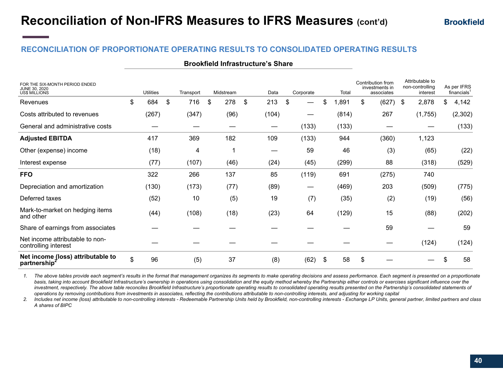|  |  | <b>Brookfield Infrastructure's Share</b> |
|--|--|------------------------------------------|
|--|--|------------------------------------------|

| FOR THE SIX-MONTH PERIOD ENDED<br>JUNE 30, 2020<br><b>US\$ MILLIONS</b> | <b>Utilities</b> | Transport | Midstream | Data      |      | Corporate | Total      | Contribution from<br>investments in<br>associates | Attributable to<br>non-controlling<br>interest |    | As per IFRS<br>financials <sup>1</sup> |
|-------------------------------------------------------------------------|------------------|-----------|-----------|-----------|------|-----------|------------|---------------------------------------------------|------------------------------------------------|----|----------------------------------------|
| Revenues                                                                | \$<br>684        | \$<br>716 | \$<br>278 | \$<br>213 |      | \$        | \$<br>,891 | \$<br>(627)                                       | \$<br>2,878                                    | \$ | 4,142                                  |
| Costs attributed to revenues                                            | (267)            | (347)     | (96)      | (104)     |      | —         | (814)      | 267                                               | (1,755)                                        |    | (2, 302)                               |
| General and administrative costs                                        |                  |           |           |           |      | (133)     | (133)      |                                                   |                                                |    | (133)                                  |
| <b>Adjusted EBITDA</b>                                                  | 417              | 369       | 182       | 109       |      | (133)     | 944        | (360)                                             | 1,123                                          |    |                                        |
| Other (expense) income                                                  | (18)             | 4         |           |           | —    | 59        | 46         | (3)                                               | (65)                                           |    | (22)                                   |
| Interest expense                                                        | (77)             | (107)     | (46)      |           | (24) | (45)      | (299)      | 88                                                | (318)                                          |    | (529)                                  |
| <b>FFO</b>                                                              | 322              | 266       | 137       |           | 85   | (119)     | 691        | (275)                                             | 740                                            |    |                                        |
| Depreciation and amortization                                           | (130)            | (173)     | (77)      |           | (89) |           | (469)      | 203                                               | (509)                                          |    | (775)                                  |
| Deferred taxes                                                          | (52)             | 10        | (5)       |           | 19   | (7)       | (35)       | (2)                                               | (19)                                           |    | (56)                                   |
| Mark-to-market on hedging items<br>and other                            | (44)             | (108)     | (18)      |           | (23) | 64        | (129)      | 15                                                | (88)                                           |    | (202)                                  |
| Share of earnings from associates                                       |                  |           |           |           |      |           |            | 59                                                |                                                |    | 59                                     |
| Net income attributable to non-<br>controlling interest                 |                  |           |           |           |      |           |            |                                                   | (124)                                          |    | (124)                                  |
| Net income (loss) attributable to<br>partnership <sup>2</sup>           | \$<br>96         | (5)       | 37        |           | (8)  | (62)      | \$<br>58   | \$                                                |                                                | ß. | 58                                     |

*1. The above tables provide each segment's results in the format that management organizes its segments to make operating decisions and assess performance. Each segment is presented on a proportionate*  basis, taking into account Brookfield Infrastructure's ownership in operations using consolidation and the equity method whereby the Partnership either controls or exercises significant influence over the investment, respectively. The above table reconciles Brookfield Infrastructure's proportionate operating results to consolidated operating results presented on the Partnership's consolidated statements of *operations by removing contributions from investments in associates, reflecting the contributions attributable to non-controlling interests, and adjusting for working capital*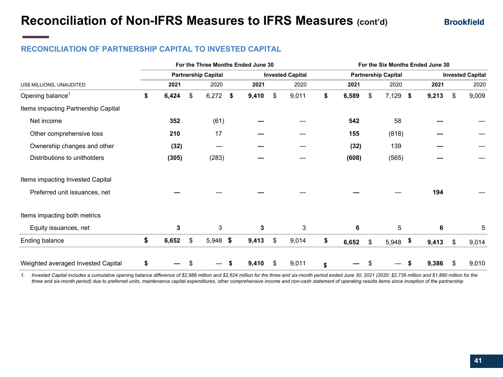### **RECONCILIATION OF PARTNERSHIP CAPITAL TO INVESTED CAPITAL**

|                                     |             |                            |      | For the Three Months Ended June 30 |                         | For the Six Months Ended June 30 |       |    |                            |    |       |    |                         |
|-------------------------------------|-------------|----------------------------|------|------------------------------------|-------------------------|----------------------------------|-------|----|----------------------------|----|-------|----|-------------------------|
|                                     |             | <b>Partnership Capital</b> |      |                                    | <b>Invested Capital</b> |                                  |       |    | <b>Partnership Capital</b> |    |       |    | <b>Invested Capital</b> |
| US\$ MILLIONS, UNAUDITED            | 2021        | 2020                       |      | 2021                               | 2020                    |                                  | 2021  |    | 2020                       |    | 2021  |    | 2020                    |
| Opening balance <sup>1</sup>        | \$<br>6,424 | \$<br>6,272                | - \$ | 9,410                              | \$<br>9,011             | \$                               | 6,589 | \$ | $7,129$ \$                 |    | 9,213 | \$ | 9,009                   |
| Items impacting Partnership Capital |             |                            |      |                                    |                         |                                  |       |    |                            |    |       |    |                         |
| Net income                          | 352         | (61)                       |      |                                    |                         |                                  | 542   |    | 58                         |    |       |    |                         |
| Other comprehensive loss            | 210         | 17                         |      |                                    |                         |                                  | 155   |    | (818)                      |    |       |    |                         |
| Ownership changes and other         | (32)        |                            |      |                                    |                         |                                  | (32)  |    | 139                        |    |       |    |                         |
| Distributions to unitholders        | (305)       | (283)                      |      |                                    |                         |                                  | (608) |    | (565)                      |    |       |    |                         |
| Items impacting Invested Capital    |             |                            |      |                                    |                         |                                  |       |    |                            |    |       |    |                         |
| Preferred unit issuances, net       |             |                            |      |                                    |                         |                                  |       |    |                            |    | 194   |    |                         |
| Items impacting both metrics        |             |                            |      |                                    |                         |                                  |       |    |                            |    |       |    |                         |
| Equity issuances, net               | 3           | 3                          |      | 3                                  | 3                       |                                  | 6     |    | 5                          |    | 6     |    | 5                       |
| Ending balance                      | \$<br>6,652 | \$<br>$5,948$ \$           |      | 9,413                              | \$<br>9,014             | \$                               | 6,652 | \$ | 5,948                      | \$ | 9,413 | \$ | 9,014                   |
| Weighted averaged Invested Capital  | \$          |                            |      | 9,410                              | \$<br>9,011             | \$                               |       | S  |                            | S  | 9,386 | \$ | 9,010                   |

*1. Invested Capital includes a cumulative opening balance difference of \$2,986 million and \$2,624 million for the three and six-month period ended June 30, 2021 (2020: \$2,739 million and \$1,880 million for the three and six-month period) due to preferred units, maintenance capital expenditures, other comprehensive income and non-cash statement of operating results items since inception of the partnership*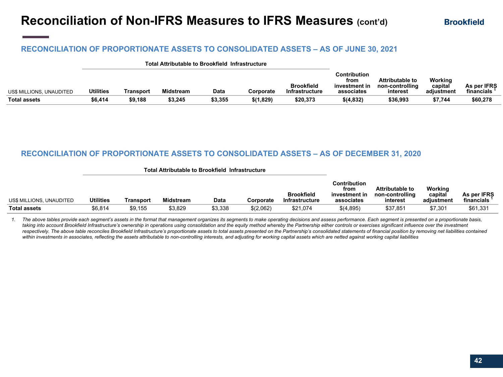### **RECONCILIATION OF PROPORTIONATE ASSETS TO CONSOLIDATED ASSETS – AS OF JUNE 30, 2021**

|                          |           |           |           | Total Attributable to Brookfield Infrastructure |           |                                            |                                                     |                                                       |                                  |                           |
|--------------------------|-----------|-----------|-----------|-------------------------------------------------|-----------|--------------------------------------------|-----------------------------------------------------|-------------------------------------------------------|----------------------------------|---------------------------|
| US\$ MILLIONS, UNAUDITED | Utilities | Transport | Midstream | Data                                            | Corporate | <b>Brookfield</b><br><b>Infrastructure</b> | Contribution<br>from<br>investment in<br>associates | <b>Attributable to</b><br>non-controlling<br>interest | Working<br>capital<br>adiustment | As per IFRS<br>financials |
| <b>Total assets</b>      | \$6.414   | \$9,188   | \$3,245   | \$3,355                                         | \$(1,829) | \$20,373                                   | \$(4,832)                                           | \$36,993                                              | \$7,744                          | \$60,278                  |

#### **RECONCILIATION OF PROPORTIONATE ASSETS TO CONSOLIDATED ASSETS – AS OF DECEMBER 31, 2020**

|                          |                  |           | <b>Total Attributable to Brookfield Infrastructure</b> |         |           |                                     |                                                     |                                                |                                  |                           |
|--------------------------|------------------|-----------|--------------------------------------------------------|---------|-----------|-------------------------------------|-----------------------------------------------------|------------------------------------------------|----------------------------------|---------------------------|
| US\$ MILLIONS, UNAUDITED | <b>Utilities</b> | Transport | <b>Midstream</b>                                       | Data    | Corporate | <b>Brookfield</b><br>Infrastructure | Contribution<br>from<br>investment in<br>associates | Attributable to<br>non-controlling<br>interest | Working<br>capital<br>adiustment | As per IFRS<br>financials |
| <b>Total assets</b>      | \$6.814          | \$9.155   | \$3,829                                                | \$3,338 | \$(2,062) | \$21,074                            | \$(4,895)                                           | \$37,851                                       | \$7,301                          | \$61,331                  |

*1. The above tables provide each segment's assets in the format that management organizes its segments to make operating decisions and assess performance. Each segment is presented on a proportionate basis,*  taking into account Brookfield Infrastructure's ownership in operations using consolidation and the equity method whereby the Partnership either controls or exercises significant influence over the investment respectively. The above table reconciles Brookfield Infrastructure's proportionate assets to total assets presented on the Partnership's consolidated statements of financial position by removing net liabilities contained *within investments in associates, reflecting the assets attributable to non-controlling interests, and adjusting for working capital assets which are netted against working capital liabilities*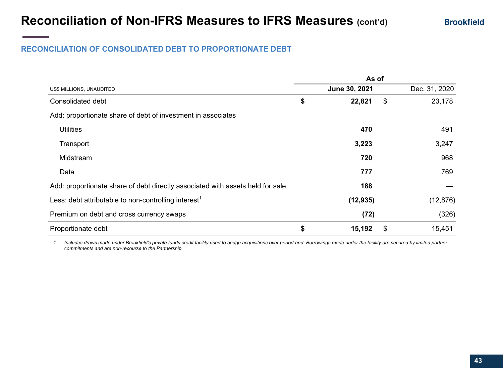### **RECONCILIATION OF CONSOLIDATED DEBT TO PROPORTIONATE DEBT**

|                                                                                | As of         |    |               |
|--------------------------------------------------------------------------------|---------------|----|---------------|
| US\$ MILLIONS, UNAUDITED                                                       | June 30, 2021 |    | Dec. 31, 2020 |
| Consolidated debt                                                              | \$<br>22,821  | \$ | 23,178        |
| Add: proportionate share of debt of investment in associates                   |               |    |               |
| <b>Utilities</b>                                                               | 470           |    | 491           |
| Transport                                                                      | 3,223         |    | 3,247         |
| Midstream                                                                      | 720           |    | 968           |
| Data                                                                           | 777           |    | 769           |
| Add: proportionate share of debt directly associated with assets held for sale | 188           |    |               |
| Less: debt attributable to non-controlling interest <sup>1</sup>               | (12, 935)     |    | (12, 876)     |
| Premium on debt and cross currency swaps                                       | (72)          |    | (326)         |
| Proportionate debt                                                             | \$<br>15,192  | \$ | 15,451        |

*1. Includes draws made under Brookfield's private funds credit facility used to bridge acquisitions over period-end. Borrowings made under the facility are secured by limited partner commitments and are non-recourse to the Partnership*